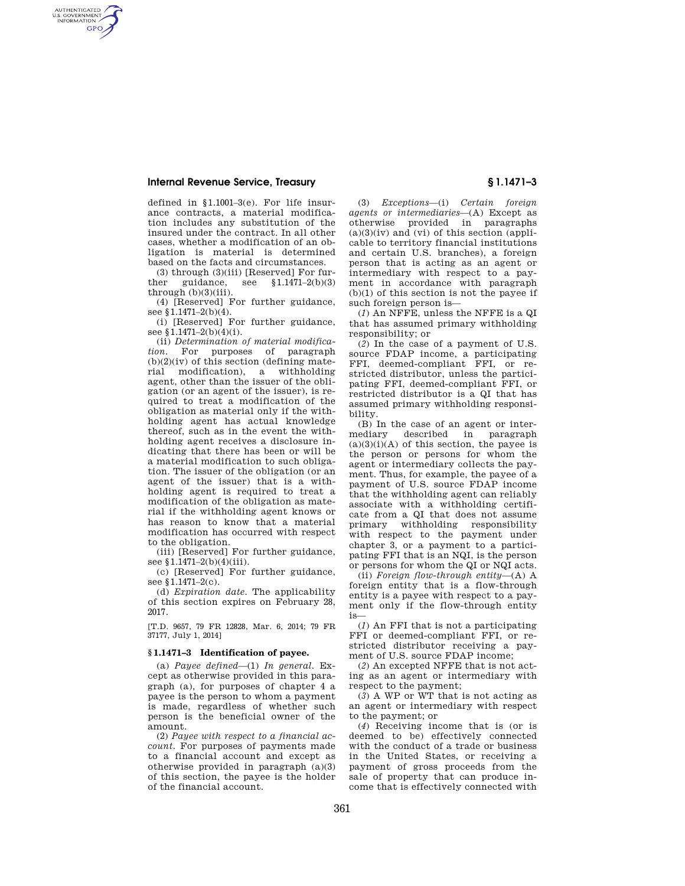AUTHENTICATED<br>U.S. GOVERNMENT<br>INFORMATION **GPO** 

> defined in §1.1001–3(e). For life insurance contracts, a material modification includes any substitution of the insured under the contract. In all other cases, whether a modification of an obligation is material is determined based on the facts and circumstances.

(3) through (3)(iii) [Reserved] For further guidance, see  $$1.1471-2(b)(3)$  $through (b)(3)(iii)$ .

(4) [Reserved] For further guidance, see §1.1471-2(b)(4).

(i) [Reserved] For further guidance, see §1.1471-2(b)(4)(i).

(ii) *Determination of material modification.* For purposes of paragraph  $(b)(2)(iv)$  of this section (defining material modification), a withholding agent, other than the issuer of the obligation (or an agent of the issuer), is required to treat a modification of the obligation as material only if the withholding agent has actual knowledge thereof, such as in the event the withholding agent receives a disclosure indicating that there has been or will be a material modification to such obligation. The issuer of the obligation (or an agent of the issuer) that is a withholding agent is required to treat a modification of the obligation as material if the withholding agent knows or has reason to know that a material modification has occurred with respect to the obligation.

(iii) [Reserved] For further guidance, see §1.1471-2(b)(4)(iii).

(c) [Reserved] For further guidance, see §1.1471–2(c).

(d) *Expiration date.* The applicability of this section expires on February 28, 2017.

[T.D. 9657, 79 FR 12828, Mar. 6, 2014; 79 FR 37177, July 1, 2014]

# **§ 1.1471–3 Identification of payee.**

(a) *Payee defined*—(1) *In general.* Except as otherwise provided in this paragraph (a), for purposes of chapter 4 a payee is the person to whom a payment is made, regardless of whether such person is the beneficial owner of the amount.

(2) *Payee with respect to a financial account.* For purposes of payments made to a financial account and except as otherwise provided in paragraph (a)(3) of this section, the payee is the holder of the financial account.

(3) *Exceptions*—(i) *Certain foreign agents or intermediaries*—(A) Except as otherwise provided in paragraphs  $(a)(3)(iv)$  and  $(vi)$  of this section (applicable to territory financial institutions and certain U.S. branches), a foreign person that is acting as an agent or intermediary with respect to a payment in accordance with paragraph (b)(1) of this section is not the payee if such foreign person is—

(*1*) An NFFE, unless the NFFE is a QI that has assumed primary withholding responsibility; or

(*2*) In the case of a payment of U.S. source FDAP income, a participating FFI, deemed-compliant FFI, or restricted distributor, unless the participating FFI, deemed-compliant FFI, or restricted distributor is a QI that has assumed primary withholding responsibility.

(B) In the case of an agent or intermediary described in paragraph  $(a)(3)(i)(A)$  of this section, the payee is the person or persons for whom the agent or intermediary collects the payment. Thus, for example, the payee of a payment of U.S. source FDAP income that the withholding agent can reliably associate with a withholding certificate from a QI that does not assume primary withholding responsibility with respect to the payment under chapter 3, or a payment to a participating FFI that is an NQI, is the person or persons for whom the QI or NQI acts.

(ii) *Foreign flow-through entity*—(A) A foreign entity that is a flow-through entity is a payee with respect to a payment only if the flow-through entity is—

(*1*) An FFI that is not a participating FFI or deemed-compliant FFI, or restricted distributor receiving a payment of U.S. source FDAP income;

(*2*) An excepted NFFE that is not acting as an agent or intermediary with respect to the payment;

(*3*) A WP or WT that is not acting as an agent or intermediary with respect to the payment; or

(*4*) Receiving income that is (or is deemed to be) effectively connected with the conduct of a trade or business in the United States, or receiving a payment of gross proceeds from the sale of property that can produce income that is effectively connected with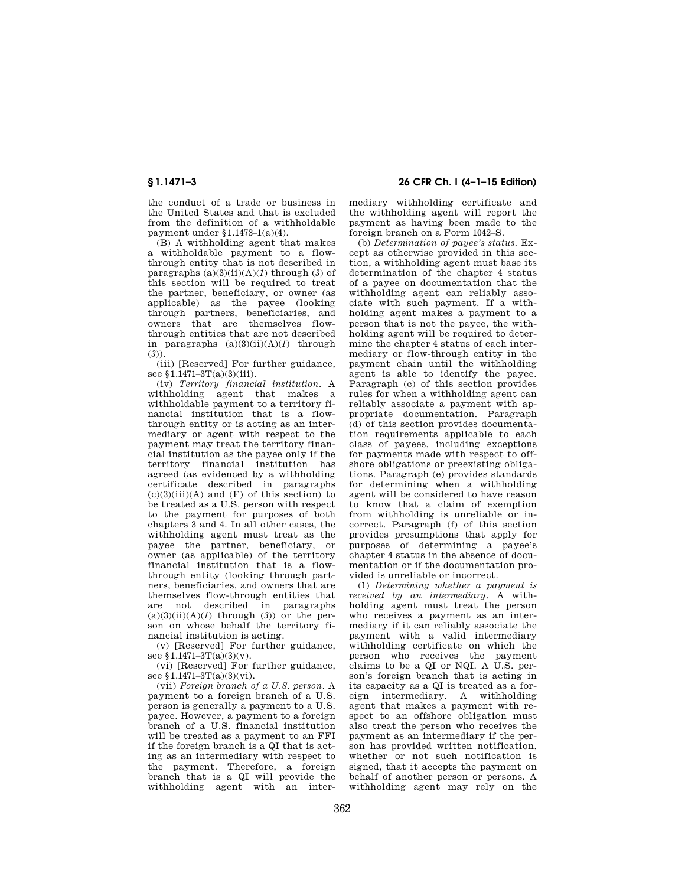the conduct of a trade or business in the United States and that is excluded from the definition of a withholdable payment under §1.1473–1(a)(4).

(B) A withholding agent that makes a withholdable payment to a flowthrough entity that is not described in paragraphs  $(a)(3)(ii)(A)(I)$  through  $(3)$  of this section will be required to treat the partner, beneficiary, or owner (as applicable) as the payee (looking through partners, beneficiaries, and owners that are themselves flowthrough entities that are not described in paragraphs  $(a)(3)(ii)(A)(I)$  through (*3*)).

(iii) [Reserved] For further guidance, see §1.1471-3T(a)(3)(iii).

(iv) *Territory financial institution.* A withholding agent that makes a withholdable payment to a territory financial institution that is a flowthrough entity or is acting as an intermediary or agent with respect to the payment may treat the territory financial institution as the payee only if the territory financial institution has agreed (as evidenced by a withholding certificate described in paragraphs  $(c)(3)(iii)(A)$  and  $(F)$  of this section) to be treated as a U.S. person with respect to the payment for purposes of both chapters 3 and 4. In all other cases, the withholding agent must treat as the payee the partner, beneficiary, or owner (as applicable) of the territory financial institution that is a flowthrough entity (looking through partners, beneficiaries, and owners that are themselves flow-through entities that are not described in paragraphs  $(a)(3)(ii)(A)(I)$  through  $(3)$  or the person on whose behalf the territory financial institution is acting.

(v) [Reserved] For further guidance, see  $$1.1471-3T(a)(3)(v)$ .

(vi) [Reserved] For further guidance, see §1.1471-3T(a)(3)(vi).

(vii) *Foreign branch of a U.S. person.* A payment to a foreign branch of a U.S. person is generally a payment to a U.S. payee. However, a payment to a foreign branch of a U.S. financial institution will be treated as a payment to an FFI if the foreign branch is a QI that is acting as an intermediary with respect to the payment. Therefore, a foreign branch that is a QI will provide the withholding agent with an inter-

# **§ 1.1471–3 26 CFR Ch. I (4–1–15 Edition)**

mediary withholding certificate and the withholding agent will report the payment as having been made to the foreign branch on a Form 1042–S.

(b) *Determination of payee's status.* Except as otherwise provided in this section, a withholding agent must base its determination of the chapter 4 status of a payee on documentation that the withholding agent can reliably associate with such payment. If a withholding agent makes a payment to a person that is not the payee, the withholding agent will be required to determine the chapter 4 status of each intermediary or flow-through entity in the payment chain until the withholding agent is able to identify the payee. Paragraph (c) of this section provides rules for when a withholding agent can reliably associate a payment with appropriate documentation. Paragraph (d) of this section provides documentation requirements applicable to each class of payees, including exceptions for payments made with respect to offshore obligations or preexisting obligations. Paragraph (e) provides standards for determining when a withholding agent will be considered to have reason to know that a claim of exemption from withholding is unreliable or incorrect. Paragraph (f) of this section provides presumptions that apply for purposes of determining a payee's chapter 4 status in the absence of documentation or if the documentation provided is unreliable or incorrect.

(1) *Determining whether a payment is received by an intermediary.* A withholding agent must treat the person who receives a payment as an intermediary if it can reliably associate the payment with a valid intermediary withholding certificate on which the person who receives the payment claims to be a QI or NQI. A U.S. person's foreign branch that is acting in its capacity as a QI is treated as a foreign intermediary. A withholding agent that makes a payment with respect to an offshore obligation must also treat the person who receives the payment as an intermediary if the person has provided written notification, whether or not such notification is signed, that it accepts the payment on behalf of another person or persons. A withholding agent may rely on the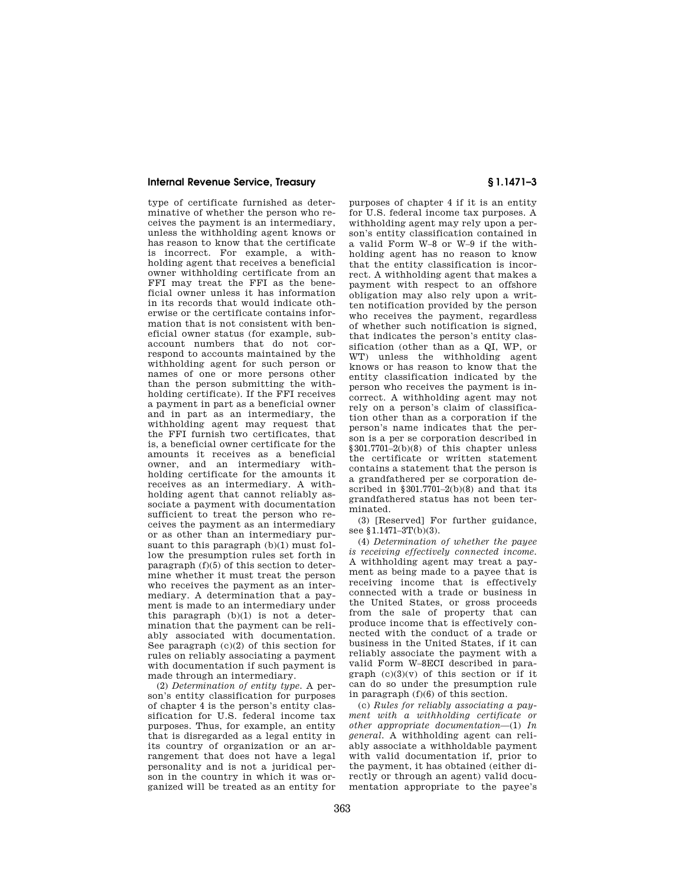type of certificate furnished as determinative of whether the person who receives the payment is an intermediary, unless the withholding agent knows or has reason to know that the certificate is incorrect. For example, a withholding agent that receives a beneficial owner withholding certificate from an FFI may treat the FFI as the beneficial owner unless it has information in its records that would indicate otherwise or the certificate contains information that is not consistent with beneficial owner status (for example, subaccount numbers that do not correspond to accounts maintained by the withholding agent for such person or names of one or more persons other than the person submitting the withholding certificate). If the FFI receives a payment in part as a beneficial owner and in part as an intermediary, the withholding agent may request that the FFI furnish two certificates, that is, a beneficial owner certificate for the amounts it receives as a beneficial owner, and an intermediary withholding certificate for the amounts it receives as an intermediary. A withholding agent that cannot reliably associate a payment with documentation sufficient to treat the person who receives the payment as an intermediary or as other than an intermediary pursuant to this paragraph (b)(1) must follow the presumption rules set forth in paragraph (f)(5) of this section to determine whether it must treat the person who receives the payment as an intermediary. A determination that a payment is made to an intermediary under this paragraph (b)(1) is not a determination that the payment can be reliably associated with documentation. See paragraph (c)(2) of this section for rules on reliably associating a payment with documentation if such payment is made through an intermediary.

(2) *Determination of entity type.* A person's entity classification for purposes of chapter 4 is the person's entity classification for U.S. federal income tax purposes. Thus, for example, an entity that is disregarded as a legal entity in its country of organization or an arrangement that does not have a legal personality and is not a juridical person in the country in which it was organized will be treated as an entity for

purposes of chapter 4 if it is an entity for U.S. federal income tax purposes. A withholding agent may rely upon a person's entity classification contained in a valid Form W–8 or W–9 if the withholding agent has no reason to know that the entity classification is incorrect. A withholding agent that makes a payment with respect to an offshore obligation may also rely upon a written notification provided by the person who receives the payment, regardless of whether such notification is signed, that indicates the person's entity classification (other than as a QI, WP, or WT) unless the withholding agent knows or has reason to know that the entity classification indicated by the person who receives the payment is incorrect. A withholding agent may not rely on a person's claim of classification other than as a corporation if the person's name indicates that the person is a per se corporation described in §301.7701–2(b)(8) of this chapter unless the certificate or written statement contains a statement that the person is a grandfathered per se corporation described in  $$301.7701-2(b)(8)$  and that its grandfathered status has not been terminated.

(3) [Reserved] For further guidance, see §1.1471–3T(b)(3).

(4) *Determination of whether the payee is receiving effectively connected income.*  A withholding agent may treat a payment as being made to a payee that is receiving income that is effectively connected with a trade or business in the United States, or gross proceeds from the sale of property that can produce income that is effectively connected with the conduct of a trade or business in the United States, if it can reliably associate the payment with a valid Form W–8ECI described in paragraph  $(c)(3)(y)$  of this section or if it can do so under the presumption rule in paragraph (f)(6) of this section.

(c) *Rules for reliably associating a payment with a withholding certificate or other appropriate documentation*—(1) *In general.* A withholding agent can reliably associate a withholdable payment with valid documentation if, prior to the payment, it has obtained (either directly or through an agent) valid documentation appropriate to the payee's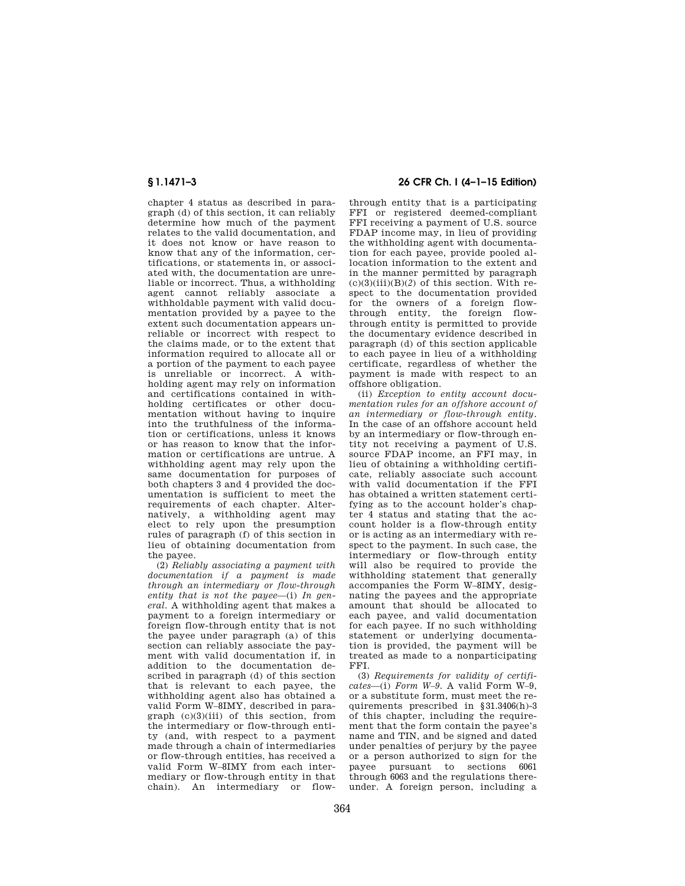chapter 4 status as described in paragraph (d) of this section, it can reliably determine how much of the payment relates to the valid documentation, and it does not know or have reason to know that any of the information, certifications, or statements in, or associated with, the documentation are unreliable or incorrect. Thus, a withholding agent cannot reliably associate a withholdable payment with valid documentation provided by a payee to the extent such documentation appears unreliable or incorrect with respect to the claims made, or to the extent that information required to allocate all or a portion of the payment to each payee is unreliable or incorrect. A withholding agent may rely on information and certifications contained in withholding certificates or other documentation without having to inquire into the truthfulness of the information or certifications, unless it knows or has reason to know that the information or certifications are untrue. A withholding agent may rely upon the same documentation for purposes of both chapters 3 and 4 provided the documentation is sufficient to meet the requirements of each chapter. Alternatively, a withholding agent may elect to rely upon the presumption rules of paragraph (f) of this section in lieu of obtaining documentation from the payee.

(2) *Reliably associating a payment with documentation if a payment is made through an intermediary or flow-through entity that is not the payee*—(i) *In general.* A withholding agent that makes a payment to a foreign intermediary or foreign flow-through entity that is not the payee under paragraph (a) of this section can reliably associate the payment with valid documentation if, in addition to the documentation described in paragraph (d) of this section that is relevant to each payee, the withholding agent also has obtained a valid Form W–8IMY, described in paragraph (c)(3)(iii) of this section, from the intermediary or flow-through entity (and, with respect to a payment made through a chain of intermediaries or flow-through entities, has received a valid Form W–8IMY from each intermediary or flow-through entity in that chain). An intermediary or flow-

# **§ 1.1471–3 26 CFR Ch. I (4–1–15 Edition)**

through entity that is a participating FFI or registered deemed-compliant FFI receiving a payment of U.S. source FDAP income may, in lieu of providing the withholding agent with documentation for each payee, provide pooled allocation information to the extent and in the manner permitted by paragraph  $(c)(3)(iii)(B)(2)$  of this section. With respect to the documentation provided for the owners of a foreign flowthrough entity, the foreign flowthrough entity is permitted to provide the documentary evidence described in paragraph (d) of this section applicable to each payee in lieu of a withholding certificate, regardless of whether the payment is made with respect to an offshore obligation.

(ii) *Exception to entity account documentation rules for an offshore account of an intermediary or flow-through entity.*  In the case of an offshore account held by an intermediary or flow-through entity not receiving a payment of U.S. source FDAP income, an FFI may, in lieu of obtaining a withholding certificate, reliably associate such account with valid documentation if the FFI has obtained a written statement certifying as to the account holder's chapter 4 status and stating that the account holder is a flow-through entity or is acting as an intermediary with respect to the payment. In such case, the intermediary or flow-through entity will also be required to provide the withholding statement that generally accompanies the Form W–8IMY, designating the payees and the appropriate amount that should be allocated to each payee, and valid documentation for each payee. If no such withholding statement or underlying documentation is provided, the payment will be treated as made to a nonparticipating FFI.

(3) *Requirements for validity of certificates*—(i) *Form W–9.* A valid Form W–9, or a substitute form, must meet the requirements prescribed in §31.3406(h)-3 of this chapter, including the requirement that the form contain the payee's name and TIN, and be signed and dated under penalties of perjury by the payee or a person authorized to sign for the payee pursuant to sections 6061 through 6063 and the regulations thereunder. A foreign person, including a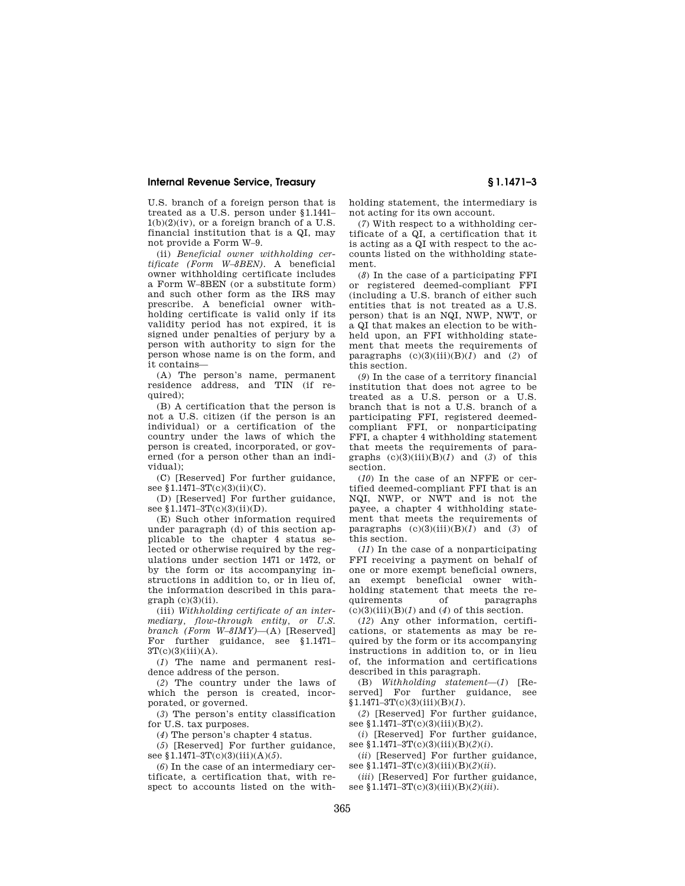U.S. branch of a foreign person that is treated as a U.S. person under §1.1441–  $1(b)(2)(iv)$ , or a foreign branch of a U.S. financial institution that is a QI, may not provide a Form W–9.

(ii) *Beneficial owner withholding certificate (Form W–8BEN).* A beneficial owner withholding certificate includes a Form W–8BEN (or a substitute form) and such other form as the IRS may prescribe. A beneficial owner with-.<br>holding certificate is valid only if its validity period has not expired, it is signed under penalties of perjury by a person with authority to sign for the person whose name is on the form, and it contains—

(A) The person's name, permanent residence address, and TIN (if required):

(B) A certification that the person is not a U.S. citizen (if the person is an individual) or a certification of the country under the laws of which the person is created, incorporated, or governed (for a person other than an individual);

(C) [Reserved] For further guidance, see §1.1471-3T(c)(3)(ii)(C).

(D) [Reserved] For further guidance, see §1.1471-3T(c)(3)(ii)(D).

(E) Such other information required under paragraph (d) of this section applicable to the chapter 4 status selected or otherwise required by the regulations under section 1471 or 1472, or by the form or its accompanying instructions in addition to, or in lieu of, the information described in this para $graph (c)(3)(ii)$ .

(iii) *Withholding certificate of an intermediary, flow-through entity, or U.S. branch (Form W–8IMY)*—(A) [Reserved] For further guidance, see §1.1471– 3T(c)(3)(iii)(A).

(*1*) The name and permanent residence address of the person.

(*2*) The country under the laws of which the person is created, incorporated, or governed.

(*3*) The person's entity classification for U.S. tax purposes.

(*4*) The person's chapter 4 status.

(*5*) [Reserved] For further guidance, see §1.1471–3T(c)(3)(iii)(A)(*5*).

(*6*) In the case of an intermediary certificate, a certification that, with respect to accounts listed on the withholding statement, the intermediary is not acting for its own account.

(*7*) With respect to a withholding certificate of a QI, a certification that it is acting as a QI with respect to the accounts listed on the withholding statement.

(*8*) In the case of a participating FFI or registered deemed-compliant FFI (including a U.S. branch of either such entities that is not treated as a U.S. person) that is an NQI, NWP, NWT, or a QI that makes an election to be withheld upon, an FFI withholding statement that meets the requirements of paragraphs (c)(3)(iii)(B)(*1*) and (*2*) of this section.

(*9*) In the case of a territory financial institution that does not agree to be treated as a U.S. person or a U.S. branch that is not a U.S. branch of a participating FFI, registered deemedcompliant FFI, or nonparticipating FFI, a chapter 4 withholding statement that meets the requirements of paragraphs  $(c)(3)(iii)(B)(1)$  and  $(3)$  of this section.

(*10*) In the case of an NFFE or certified deemed-compliant FFI that is an NQI, NWP, or NWT and is not the payee, a chapter 4 withholding statement that meets the requirements of paragraphs  $(c)(3)(iii)(B)(I)$  and  $(3)$  of this section.

(*11*) In the case of a nonparticipating FFI receiving a payment on behalf of one or more exempt beneficial owners, an exempt beneficial owner withholding statement that meets the requirements of paragraphs  $(c)(3)(iii)(B)(1)$  and  $(4)$  of this section.

(*12*) Any other information, certifications, or statements as may be required by the form or its accompanying instructions in addition to, or in lieu of, the information and certifications described in this paragraph.

(B) *Withholding statement*—(*1*) [Reserved] For further guidance, see §1.1471–3T(c)(3)(iii)(B)(*1*).

(*2*) [Reserved] For further guidance, see §1.1471–3T(c)(3)(iii)(B)(*2*).

(*i*) [Reserved] For further guidance, see §1.1471–3T(c)(3)(iii)(B)(*2*)(*i*).

(*ii*) [Reserved] For further guidance, see §1.1471–3T(c)(3)(iii)(B)(*2*)(*ii*).

(*iii*) [Reserved] For further guidance, see §1.1471–3T(c)(3)(iii)(B)(*2*)(*iii*).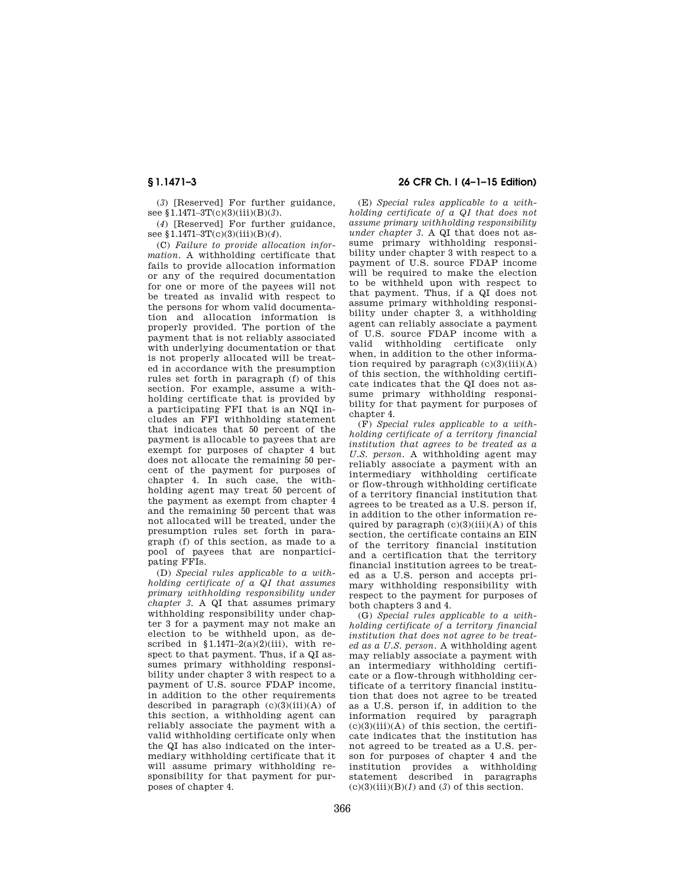(*3*) [Reserved] For further guidance, see §1.1471–3T(c)(3)(iii)(B)(*3*).

(*4*) [Reserved] For further guidance, see §1.1471–3T(c)(3)(iii)(B)(*4*).

(C) *Failure to provide allocation information.* A withholding certificate that fails to provide allocation information or any of the required documentation for one or more of the payees will not be treated as invalid with respect to the persons for whom valid documentation and allocation information is properly provided. The portion of the payment that is not reliably associated with underlying documentation or that is not properly allocated will be treated in accordance with the presumption rules set forth in paragraph (f) of this section. For example, assume a withholding certificate that is provided by a participating FFI that is an NQI includes an FFI withholding statement that indicates that 50 percent of the payment is allocable to payees that are exempt for purposes of chapter 4 but does not allocate the remaining 50 percent of the payment for purposes of chapter 4. In such case, the withholding agent may treat 50 percent of the payment as exempt from chapter 4 and the remaining 50 percent that was not allocated will be treated, under the presumption rules set forth in paragraph (f) of this section, as made to a pool of payees that are nonparticipating FFIs.

(D) *Special rules applicable to a withholding certificate of a QI that assumes primary withholding responsibility under chapter 3.* A QI that assumes primary withholding responsibility under chapter 3 for a payment may not make an election to be withheld upon, as described in  $$1.1471-2(a)(2)(iii)$ , with respect to that payment. Thus, if a QI assumes primary withholding responsibility under chapter 3 with respect to a payment of U.S. source FDAP income, in addition to the other requirements described in paragraph  $(c)(3)(iii)(A)$  of this section, a withholding agent can reliably associate the payment with a valid withholding certificate only when the QI has also indicated on the intermediary withholding certificate that it will assume primary withholding responsibility for that payment for purposes of chapter 4.

# **§ 1.1471–3 26 CFR Ch. I (4–1–15 Edition)**

(E) *Special rules applicable to a withholding certificate of a QI that does not assume primary withholding responsibility under chapter 3.* A QI that does not assume primary withholding responsibility under chapter 3 with respect to a payment of U.S. source FDAP income will be required to make the election to be withheld upon with respect to that payment. Thus, if a QI does not assume primary withholding responsibility under chapter 3, a withholding agent can reliably associate a payment of U.S. source FDAP income with a valid withholding certificate only when, in addition to the other information required by paragraph  $(c)(3)(iii)(A)$ of this section, the withholding certificate indicates that the QI does not assume primary withholding responsibility for that payment for purposes of chapter 4.

(F) *Special rules applicable to a withholding certificate of a territory financial institution that agrees to be treated as a U.S. person.* A withholding agent may reliably associate a payment with an intermediary withholding certificate or flow-through withholding certificate of a territory financial institution that agrees to be treated as a U.S. person if, in addition to the other information required by paragraph  $(c)(3)(iii)(A)$  of this section, the certificate contains an EIN of the territory financial institution and a certification that the territory financial institution agrees to be treated as a U.S. person and accepts primary withholding responsibility with respect to the payment for purposes of both chapters 3 and 4.

(G) *Special rules applicable to a withholding certificate of a territory financial institution that does not agree to be treated as a U.S. person.* A withholding agent may reliably associate a payment with an intermediary withholding certificate or a flow-through withholding certificate of a territory financial institution that does not agree to be treated as a U.S. person if, in addition to the information required by paragraph  $(c)(3)(iii)(A)$  of this section, the certificate indicates that the institution has not agreed to be treated as a U.S. person for purposes of chapter 4 and the institution provides a withholding statement described in paragraphs  $(c)(3)(iii)(B)(1)$  and  $(3)$  of this section.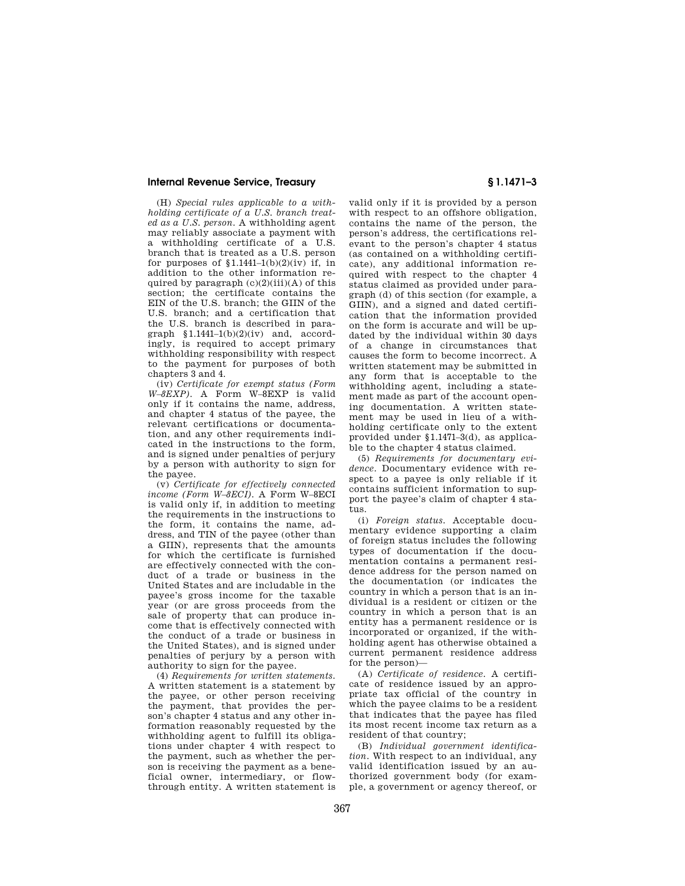(H) *Special rules applicable to a withholding certificate of a U.S. branch treated as a U.S. person.* A withholding agent may reliably associate a payment with a withholding certificate of a U.S. branch that is treated as a U.S. person for purposes of  $$1.1441–1(b)(2)(iv)$  if, in addition to the other information required by paragraph  $(c)(2)(iii)(A)$  of this section; the certificate contains the EIN of the U.S. branch; the GIIN of the U.S. branch; and a certification that the U.S. branch is described in paragraph  $$1.1441-1(b)(2)(iv)$  and, accordingly, is required to accept primary withholding responsibility with respect to the payment for purposes of both chapters 3 and 4.

(iv) *Certificate for exempt status (Form W–8EXP).* A Form W–8EXP is valid only if it contains the name, address, and chapter 4 status of the payee, the relevant certifications or documentation, and any other requirements indicated in the instructions to the form, and is signed under penalties of perjury by a person with authority to sign for the payee.

(v) *Certificate for effectively connected income (Form W–8ECI).* A Form W–8ECI is valid only if, in addition to meeting the requirements in the instructions to the form, it contains the name, address, and TIN of the payee (other than a GIIN), represents that the amounts for which the certificate is furnished are effectively connected with the conduct of a trade or business in the United States and are includable in the payee's gross income for the taxable year (or are gross proceeds from the sale of property that can produce income that is effectively connected with the conduct of a trade or business in the United States), and is signed under penalties of perjury by a person with authority to sign for the payee.

(4) *Requirements for written statements.*  A written statement is a statement by the payee, or other person receiving the payment, that provides the person's chapter 4 status and any other information reasonably requested by the withholding agent to fulfill its obligations under chapter 4 with respect to the payment, such as whether the person is receiving the payment as a beneficial owner, intermediary, or flowthrough entity. A written statement is

valid only if it is provided by a person with respect to an offshore obligation, contains the name of the person, the person's address, the certifications relevant to the person's chapter 4 status (as contained on a withholding certificate), any additional information required with respect to the chapter 4 status claimed as provided under paragraph (d) of this section (for example, a GIIN), and a signed and dated certification that the information provided on the form is accurate and will be updated by the individual within 30 days of a change in circumstances that causes the form to become incorrect. A written statement may be submitted in any form that is acceptable to the withholding agent, including a statement made as part of the account opening documentation. A written statement may be used in lieu of a withholding certificate only to the extent provided under §1.1471–3(d), as applicable to the chapter 4 status claimed.

(5) *Requirements for documentary evidence.* Documentary evidence with respect to a payee is only reliable if it contains sufficient information to support the payee's claim of chapter 4 status.

(i) *Foreign status.* Acceptable documentary evidence supporting a claim of foreign status includes the following types of documentation if the documentation contains a permanent residence address for the person named on the documentation (or indicates the country in which a person that is an individual is a resident or citizen or the country in which a person that is an entity has a permanent residence or is incorporated or organized, if the withholding agent has otherwise obtained a current permanent residence address for the person)—

(A) *Certificate of residence.* A certificate of residence issued by an appropriate tax official of the country in which the payee claims to be a resident that indicates that the payee has filed its most recent income tax return as a resident of that country;

(B) *Individual government identification.* With respect to an individual, any valid identification issued by an authorized government body (for example, a government or agency thereof, or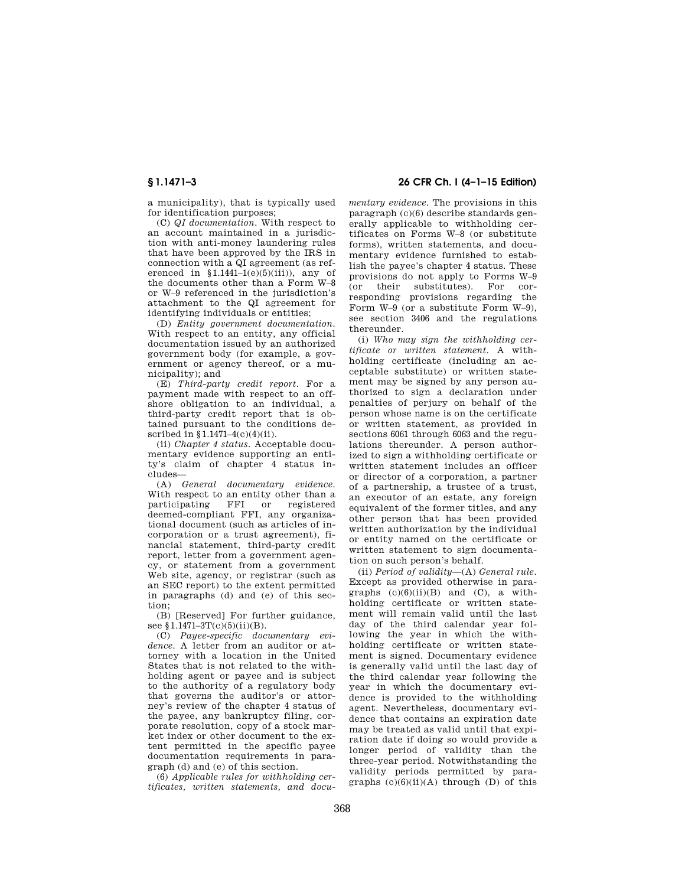a municipality), that is typically used for identification purposes;

(C) *QI documentation.* With respect to an account maintained in a jurisdiction with anti-money laundering rules that have been approved by the IRS in connection with a QI agreement (as referenced in  $$1.1441-1(e)(5)(iii)$ , any of the documents other than a Form W–8 or W–9 referenced in the jurisdiction's attachment to the QI agreement for identifying individuals or entities;

(D) *Entity government documentation.*  With respect to an entity, any official documentation issued by an authorized government body (for example, a government or agency thereof, or a municipality); and

(E) *Third-party credit report.* For a payment made with respect to an offshore obligation to an individual, a third-party credit report that is obtained pursuant to the conditions described in §1.1471–4(c)(4)(ii).

(ii) *Chapter 4 status.* Acceptable documentary evidence supporting an entity's claim of chapter 4 status includes—

(A) *General documentary evidence.*  With respect to an entity other than a<br>participating FFI or registered FFI or registered deemed-compliant FFI, any organizational document (such as articles of incorporation or a trust agreement), financial statement, third-party credit report, letter from a government agency, or statement from a government Web site, agency, or registrar (such as an SEC report) to the extent permitted in paragraphs (d) and (e) of this section;

(B) [Reserved] For further guidance, see  $1.1471 - 3T(c)(5)(ii)(B)$ .

(C) *Payee-specific documentary evidence.* A letter from an auditor or attorney with a location in the United States that is not related to the withholding agent or payee and is subject to the authority of a regulatory body that governs the auditor's or attorney's review of the chapter 4 status of the payee, any bankruptcy filing, corporate resolution, copy of a stock market index or other document to the extent permitted in the specific payee documentation requirements in paragraph (d) and (e) of this section.

(6) *Applicable rules for withholding certificates, written statements, and docu-*

**§ 1.1471–3 26 CFR Ch. I (4–1–15 Edition)** 

*mentary evidence.* The provisions in this paragraph (c)(6) describe standards generally applicable to withholding certificates on Forms W–8 (or substitute forms), written statements, and documentary evidence furnished to establish the payee's chapter 4 status. These provisions do not apply to Forms W–9 (or their substitutes). For corresponding provisions regarding the Form W–9 (or a substitute Form W–9), see section 3406 and the regulations thereunder.

(i) *Who may sign the withholding certificate or written statement.* A withholding certificate (including an acceptable substitute) or written statement may be signed by any person authorized to sign a declaration under penalties of perjury on behalf of the person whose name is on the certificate or written statement, as provided in sections 6061 through 6063 and the regulations thereunder. A person authorized to sign a withholding certificate or written statement includes an officer or director of a corporation, a partner of a partnership, a trustee of a trust, an executor of an estate, any foreign equivalent of the former titles, and any other person that has been provided written authorization by the individual or entity named on the certificate or written statement to sign documentation on such person's behalf.

(ii) *Period of validity*—(A) *General rule.*  Except as provided otherwise in paragraphs  $(c)(6)(ii)(B)$  and  $(C)$ , a withholding certificate or written statement will remain valid until the last day of the third calendar year following the year in which the withholding certificate or written statement is signed. Documentary evidence is generally valid until the last day of the third calendar year following the year in which the documentary evidence is provided to the withholding agent. Nevertheless, documentary evidence that contains an expiration date may be treated as valid until that expiration date if doing so would provide a longer period of validity than the three-year period. Notwithstanding the validity periods permitted by paragraphs  $(c)(6)(ii)(A)$  through  $(D)$  of this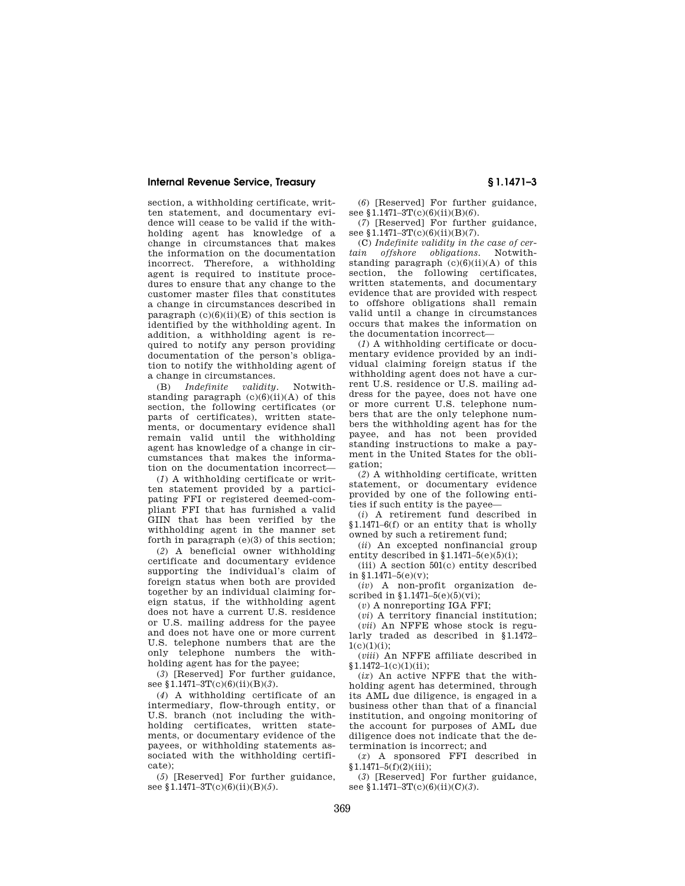section, a withholding certificate, written statement, and documentary evidence will cease to be valid if the withholding agent has knowledge of a change in circumstances that makes the information on the documentation incorrect. Therefore, a withholding agent is required to institute procedures to ensure that any change to the customer master files that constitutes a change in circumstances described in paragraph  $(c)(6)(ii)(E)$  of this section is identified by the withholding agent. In addition, a withholding agent is required to notify any person providing documentation of the person's obligation to notify the withholding agent of a change in circumstances.

(B) *Indefinite validity.* Notwithstanding paragraph (c)(6)(ii)(A) of this section, the following certificates (or parts of certificates), written statements, or documentary evidence shall remain valid until the withholding agent has knowledge of a change in circumstances that makes the information on the documentation incorrect—

(*1*) A withholding certificate or written statement provided by a participating FFI or registered deemed-compliant FFI that has furnished a valid GIIN that has been verified by the withholding agent in the manner set forth in paragraph (e)(3) of this section;

(*2*) A beneficial owner withholding certificate and documentary evidence supporting the individual's claim of foreign status when both are provided together by an individual claiming foreign status, if the withholding agent does not have a current U.S. residence or U.S. mailing address for the payee and does not have one or more current U.S. telephone numbers that are the only telephone numbers the withholding agent has for the payee;

(*3*) [Reserved] For further guidance, see §1.1471–3T(c)(6)(ii)(B)(*3*).

(*4*) A withholding certificate of an intermediary, flow-through entity, or U.S. branch (not including the withholding certificates, written statements, or documentary evidence of the payees, or withholding statements associated with the withholding certificate);

(*5*) [Reserved] For further guidance, see §1.1471–3T(c)(6)(ii)(B)(5).

(*6*) [Reserved] For further guidance, see §1.1471-3T(c)(6)(ii)(B)(6).

(*7*) [Reserved] For further guidance, see §1.1471-3T(c)(6)(ii)(B)(7).

(C) *Indefinite validity in the case of certain offshore obligations.* Notwithstanding paragraph  $(c)(6)(ii)(A)$  of this section, the following certificates, written statements, and documentary evidence that are provided with respect to offshore obligations shall remain valid until a change in circumstances occurs that makes the information on the documentation incorrect—

(*1*) A withholding certificate or documentary evidence provided by an individual claiming foreign status if the withholding agent does not have a current U.S. residence or U.S. mailing address for the payee, does not have one or more current U.S. telephone numbers that are the only telephone numbers the withholding agent has for the payee, and has not been provided standing instructions to make a payment in the United States for the obligation;

(*2*) A withholding certificate, written statement, or documentary evidence provided by one of the following entities if such entity is the payee—

(*i*) A retirement fund described in §1.1471–6(f) or an entity that is wholly owned by such a retirement fund;

(*ii*) An excepted nonfinancial group entity described in  $1.1471-5(e)(5)(i)$ ;

(iii) A section 501(c) entity described in  $$1.1471-5(e)(v)$ ; (*iv*) A non-profit organization de-

scribed in §1.1471-5(e)(5)(vi);

(*v*) A nonreporting IGA FFI;

(*vi*) A territory financial institution; (*vii*) An NFFE whose stock is regularly traded as described in §1.1472– 1(c)(1)(i);

(*viii*) An NFFE affiliate described in  $$1.1472-1(c)(1)(ii);$ 

(*ix*) An active NFFE that the withholding agent has determined, through its AML due diligence, is engaged in a business other than that of a financial institution, and ongoing monitoring of the account for purposes of AML due diligence does not indicate that the determination is incorrect; and

(*x*) A sponsored FFI described in §1.1471–5(f)(2)(iii);

(*3*) [Reserved] For further guidance, see §1.1471-3T(c)(6)(ii)(C)(3).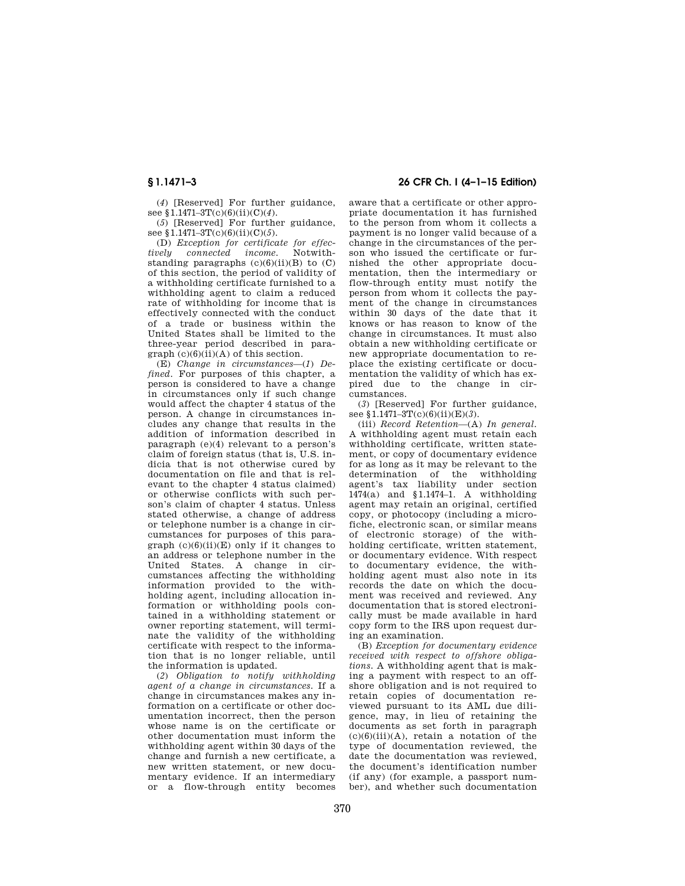(*4*) [Reserved] For further guidance, see §1.1471-3T(c)(6)(ii)(C)(4).

(*5*) [Reserved] For further guidance, see §1.1471–3T(c)(6)(ii)(C)(*5*).

(D) *Exception for certificate for effectively connected income.* Notwithstanding paragraphs  $(c)(6)(ii)(B)$  to  $(C)$ of this section, the period of validity of a withholding certificate furnished to a withholding agent to claim a reduced rate of withholding for income that is effectively connected with the conduct of a trade or business within the United States shall be limited to the three-year period described in para $graph (c)(6)(ii)(A)$  of this section.

(E) *Change in circumstances*—(*1*) *Defined.* For purposes of this chapter, a person is considered to have a change in circumstances only if such change would affect the chapter 4 status of the person. A change in circumstances includes any change that results in the addition of information described in paragraph (e)(4) relevant to a person's claim of foreign status (that is, U.S. indicia that is not otherwise cured by documentation on file and that is relevant to the chapter 4 status claimed) or otherwise conflicts with such person's claim of chapter 4 status. Unless stated otherwise, a change of address or telephone number is a change in circumstances for purposes of this paragraph  $(c)(6)(ii)(E)$  only if it changes to an address or telephone number in the United States. A change in circumstances affecting the withholding information provided to the withholding agent, including allocation information or withholding pools contained in a withholding statement or owner reporting statement, will terminate the validity of the withholding certificate with respect to the information that is no longer reliable, until the information is updated.

(*2*) *Obligation to notify withholding agent of a change in circumstances.* If a change in circumstances makes any information on a certificate or other documentation incorrect, then the person whose name is on the certificate or other documentation must inform the withholding agent within 30 days of the change and furnish a new certificate, a new written statement, or new documentary evidence. If an intermediary or a flow-through entity becomes

# **§ 1.1471–3 26 CFR Ch. I (4–1–15 Edition)**

aware that a certificate or other appropriate documentation it has furnished to the person from whom it collects a payment is no longer valid because of a change in the circumstances of the person who issued the certificate or furnished the other appropriate documentation, then the intermediary or flow-through entity must notify the person from whom it collects the payment of the change in circumstances within 30 days of the date that it knows or has reason to know of the change in circumstances. It must also obtain a new withholding certificate or new appropriate documentation to replace the existing certificate or documentation the validity of which has expired due to the change in circumstances.

(*3*) [Reserved] For further guidance, see §1.1471-3T(c)(6)(ii)(E)(3).

(iii) *Record Retention*—(A) *In general.*  A withholding agent must retain each withholding certificate, written statement, or copy of documentary evidence for as long as it may be relevant to the determination of the withholding agent's tax liability under section 1474(a) and §1.1474–1. A withholding agent may retain an original, certified copy, or photocopy (including a microfiche, electronic scan, or similar means of electronic storage) of the withholding certificate, written statement, or documentary evidence. With respect to documentary evidence, the withholding agent must also note in its records the date on which the document was received and reviewed. Any documentation that is stored electronically must be made available in hard copy form to the IRS upon request during an examination.

(B) *Exception for documentary evidence received with respect to offshore obligations.* A withholding agent that is making a payment with respect to an offshore obligation and is not required to retain copies of documentation reviewed pursuant to its AML due diligence, may, in lieu of retaining the documents as set forth in paragraph  $(c)(6)(iii)(A)$ , retain a notation of the type of documentation reviewed, the date the documentation was reviewed, the document's identification number (if any) (for example, a passport number), and whether such documentation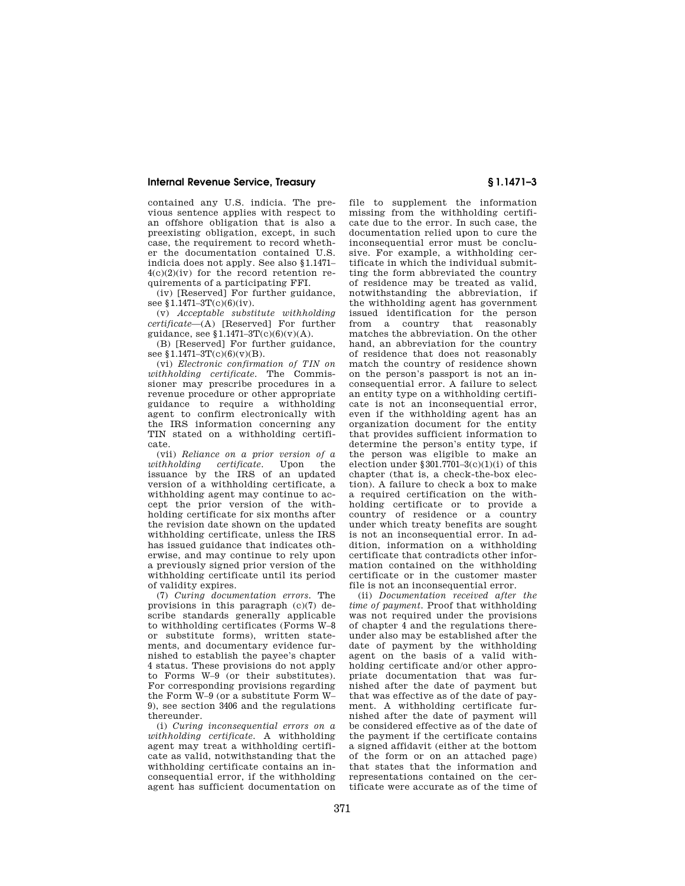contained any U.S. indicia. The previous sentence applies with respect to an offshore obligation that is also a preexisting obligation, except, in such case, the requirement to record whether the documentation contained U.S. indicia does not apply. See also §1.1471– 4(c)(2)(iv) for the record retention requirements of a participating FFI.

(iv) [Reserved] For further guidance, see  $\overline{$1.1471-3T(c)(6)(iv)}$ .

(v) *Acceptable substitute withholding certificate*—(A) [Reserved] For further guidance, see  $1.1471-3T(c)(6)(v)(A)$ .

(B) [Reserved] For further guidance, see  $1.1471 - 3T(c)(6)(v)(B)$ .

(vi) *Electronic confirmation of TIN on withholding certificate.* The Commissioner may prescribe procedures in a revenue procedure or other appropriate guidance to require a withholding agent to confirm electronically with the IRS information concerning any TIN stated on a withholding certificate.

(vii) *Reliance on a prior version of a*   $with hold in a$  *certificate.* issuance by the IRS of an updated version of a withholding certificate, a withholding agent may continue to accept the prior version of the withholding certificate for six months after the revision date shown on the updated withholding certificate, unless the IRS has issued guidance that indicates otherwise, and may continue to rely upon a previously signed prior version of the withholding certificate until its period of validity expires.

(7) *Curing documentation errors.* The provisions in this paragraph (c)(7) describe standards generally applicable to withholding certificates (Forms W–8 or substitute forms), written statements, and documentary evidence furnished to establish the payee's chapter 4 status. These provisions do not apply to Forms W–9 (or their substitutes). For corresponding provisions regarding the Form W–9 (or a substitute Form W– 9), see section 3406 and the regulations thereunder.

(i) *Curing inconsequential errors on a withholding certificate.* A withholding agent may treat a withholding certificate as valid, notwithstanding that the withholding certificate contains an inconsequential error, if the withholding agent has sufficient documentation on

file to supplement the information missing from the withholding certificate due to the error. In such case, the documentation relied upon to cure the inconsequential error must be conclusive. For example, a withholding certificate in which the individual submitting the form abbreviated the country of residence may be treated as valid, notwithstanding the abbreviation, if the withholding agent has government issued identification for the person from a country that reasonably matches the abbreviation. On the other hand, an abbreviation for the country of residence that does not reasonably match the country of residence shown on the person's passport is not an inconsequential error. A failure to select an entity type on a withholding certificate is not an inconsequential error, even if the withholding agent has an organization document for the entity that provides sufficient information to determine the person's entity type, if the person was eligible to make an election under  $$301.7701-3(c)(1)(i)$  of this chapter (that is, a check-the-box election). A failure to check a box to make a required certification on the withholding certificate or to provide a country of residence or a country under which treaty benefits are sought is not an inconsequential error. In addition, information on a withholding certificate that contradicts other information contained on the withholding certificate or in the customer master file is not an inconsequential error.

(ii) *Documentation received after the time of payment.* Proof that withholding was not required under the provisions of chapter 4 and the regulations thereunder also may be established after the date of payment by the withholding agent on the basis of a valid withholding certificate and/or other appropriate documentation that was furnished after the date of payment but that was effective as of the date of payment. A withholding certificate furnished after the date of payment will be considered effective as of the date of the payment if the certificate contains a signed affidavit (either at the bottom of the form or on an attached page) that states that the information and representations contained on the certificate were accurate as of the time of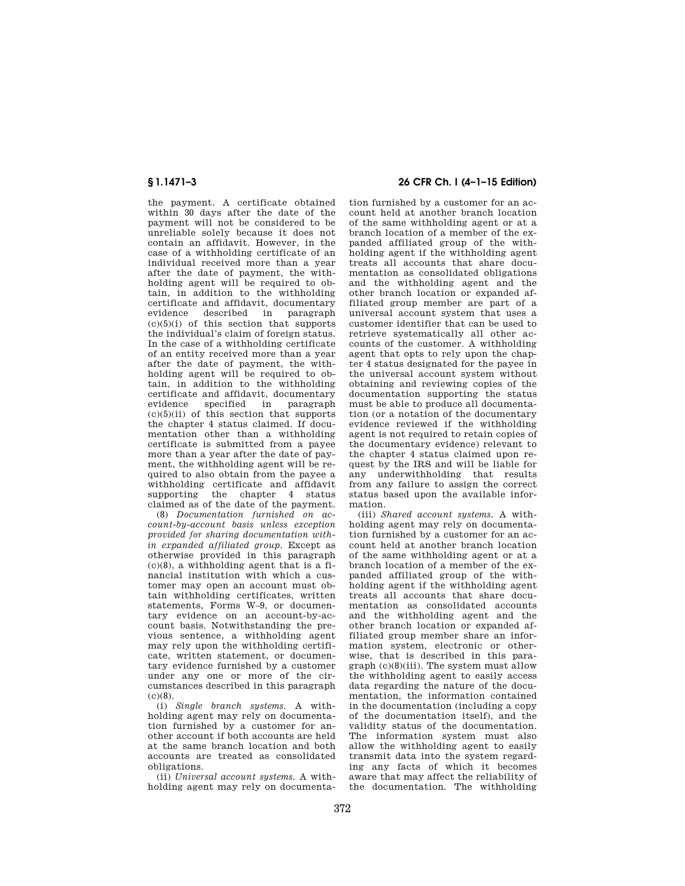the payment. A certificate obtained within 30 days after the date of the payment will not be considered to be unreliable solely because it does not contain an affidavit. However, in the case of a withholding certificate of an individual received more than a year after the date of payment, the withholding agent will be required to obtain, in addition to the withholding certificate and affidavit, documentary described in  $(c)(5)(i)$  of this section that supports the individual's claim of foreign status. In the case of a withholding certificate of an entity received more than a year after the date of payment, the withholding agent will be required to obtain, in addition to the withholding certificate and affidavit, documentary<br>evidence specified in paragraph specified in  $(c)(5)(ii)$  of this section that supports the chapter 4 status claimed. If documentation other than a withholding certificate is submitted from a payee more than a year after the date of payment, the withholding agent will be required to also obtain from the payee a withholding certificate and affidavit supporting the chapter 4 status claimed as of the date of the payment.

(8) *Documentation furnished on account-by-account basis unless exception provided for sharing documentation within expanded affiliated group.* Except as otherwise provided in this paragraph (c)(8), a withholding agent that is a financial institution with which a customer may open an account must obtain withholding certificates, written statements, Forms W–9, or documentary evidence on an account-by-account basis. Notwithstanding the previous sentence, a withholding agent may rely upon the withholding certificate, written statement, or documentary evidence furnished by a customer under any one or more of the circumstances described in this paragraph  $(c)(8)$ .

(i) *Single branch systems.* A withholding agent may rely on documentation furnished by a customer for another account if both accounts are held at the same branch location and both accounts are treated as consolidated obligations.

(ii) *Universal account systems.* A withholding agent may rely on documenta-

# **§ 1.1471–3 26 CFR Ch. I (4–1–15 Edition)**

tion furnished by a customer for an account held at another branch location of the same withholding agent or at a branch location of a member of the expanded affiliated group of the withholding agent if the withholding agent treats all accounts that share documentation as consolidated obligations and the withholding agent and the other branch location or expanded affiliated group member are part of a universal account system that uses a customer identifier that can be used to retrieve systematically all other accounts of the customer. A withholding agent that opts to rely upon the chapter 4 status designated for the payee in the universal account system without obtaining and reviewing copies of the documentation supporting the status must be able to produce all documentation (or a notation of the documentary evidence reviewed if the withholding agent is not required to retain copies of the documentary evidence) relevant to the chapter 4 status claimed upon request by the IRS and will be liable for any underwithholding that results from any failure to assign the correct status based upon the available information.

(iii) *Shared account systems.* A withholding agent may rely on documentation furnished by a customer for an account held at another branch location of the same withholding agent or at a branch location of a member of the expanded affiliated group of the withholding agent if the withholding agent treats all accounts that share documentation as consolidated accounts and the withholding agent and the other branch location or expanded affiliated group member share an information system, electronic or otherwise, that is described in this paragraph  $(c)(8)(iii)$ . The system must allow the withholding agent to easily access data regarding the nature of the documentation, the information contained in the documentation (including a copy of the documentation itself), and the validity status of the documentation. The information system must also allow the withholding agent to easily transmit data into the system regarding any facts of which it becomes aware that may affect the reliability of the documentation. The withholding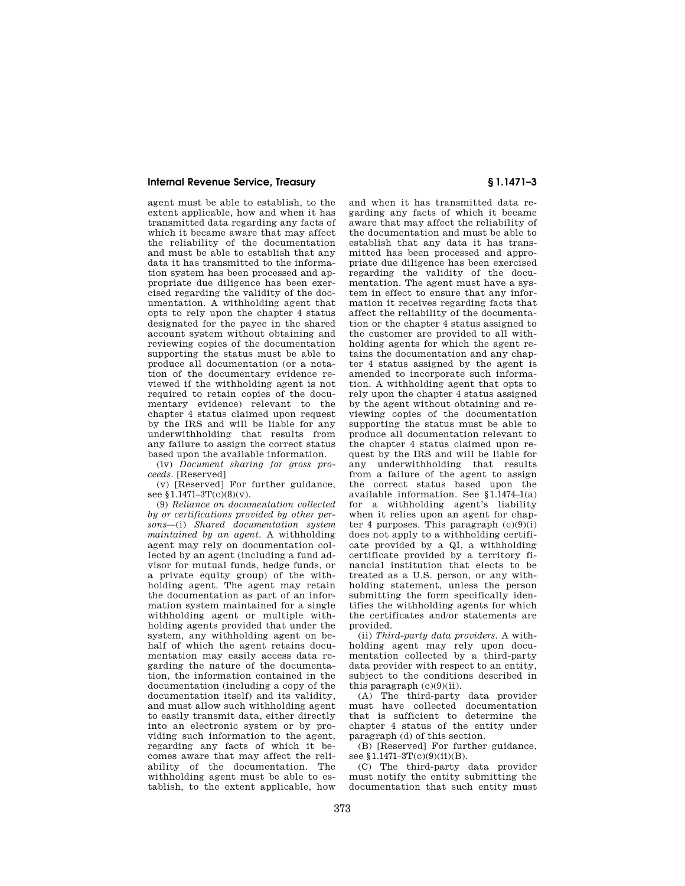agent must be able to establish, to the extent applicable, how and when it has transmitted data regarding any facts of which it became aware that may affect the reliability of the documentation and must be able to establish that any data it has transmitted to the information system has been processed and appropriate due diligence has been exercised regarding the validity of the documentation. A withholding agent that opts to rely upon the chapter 4 status designated for the payee in the shared account system without obtaining and reviewing copies of the documentation supporting the status must be able to produce all documentation (or a notation of the documentary evidence reviewed if the withholding agent is not required to retain copies of the documentary evidence) relevant to the chapter 4 status claimed upon request by the IRS and will be liable for any underwithholding that results from any failure to assign the correct status based upon the available information.

(iv) *Document sharing for gross proceeds.* [Reserved]

(v) [Reserved] For further guidance, see §1.1471-3T(c)(8)(v).

(9) *Reliance on documentation collected by or certifications provided by other persons*—(i) *Shared documentation system maintained by an agent.* A withholding agent may rely on documentation collected by an agent (including a fund advisor for mutual funds, hedge funds, or a private equity group) of the withholding agent. The agent may retain the documentation as part of an information system maintained for a single withholding agent or multiple withholding agents provided that under the system, any withholding agent on behalf of which the agent retains documentation may easily access data regarding the nature of the documentation, the information contained in the documentation (including a copy of the documentation itself) and its validity, and must allow such withholding agent to easily transmit data, either directly into an electronic system or by providing such information to the agent, regarding any facts of which it becomes aware that may affect the reliability of the documentation. The withholding agent must be able to establish, to the extent applicable, how

and when it has transmitted data regarding any facts of which it became aware that may affect the reliability of the documentation and must be able to establish that any data it has transmitted has been processed and appropriate due diligence has been exercised regarding the validity of the documentation. The agent must have a system in effect to ensure that any information it receives regarding facts that affect the reliability of the documentation or the chapter 4 status assigned to the customer are provided to all withholding agents for which the agent retains the documentation and any chapter 4 status assigned by the agent is amended to incorporate such information. A withholding agent that opts to rely upon the chapter 4 status assigned by the agent without obtaining and reviewing copies of the documentation supporting the status must be able to produce all documentation relevant to the chapter 4 status claimed upon request by the IRS and will be liable for any underwithholding that results from a failure of the agent to assign the correct status based upon the available information. See §1.1474–1(a) for a withholding agent's liability when it relies upon an agent for chapter 4 purposes. This paragraph  $(c)(9)(i)$ does not apply to a withholding certificate provided by a QI, a withholding certificate provided by a territory financial institution that elects to be treated as a U.S. person, or any withholding statement, unless the person submitting the form specifically identifies the withholding agents for which the certificates and/or statements are provided.

(ii) *Third-party data providers.* A withholding agent may rely upon documentation collected by a third-party data provider with respect to an entity, subject to the conditions described in this paragraph (c)(9)(ii).

(A) The third-party data provider must have collected documentation that is sufficient to determine the chapter 4 status of the entity under paragraph (d) of this section.

(B) [Reserved] For further guidance, see §1.1471-3T(c)(9)(ii)(B).

(C) The third-party data provider must notify the entity submitting the documentation that such entity must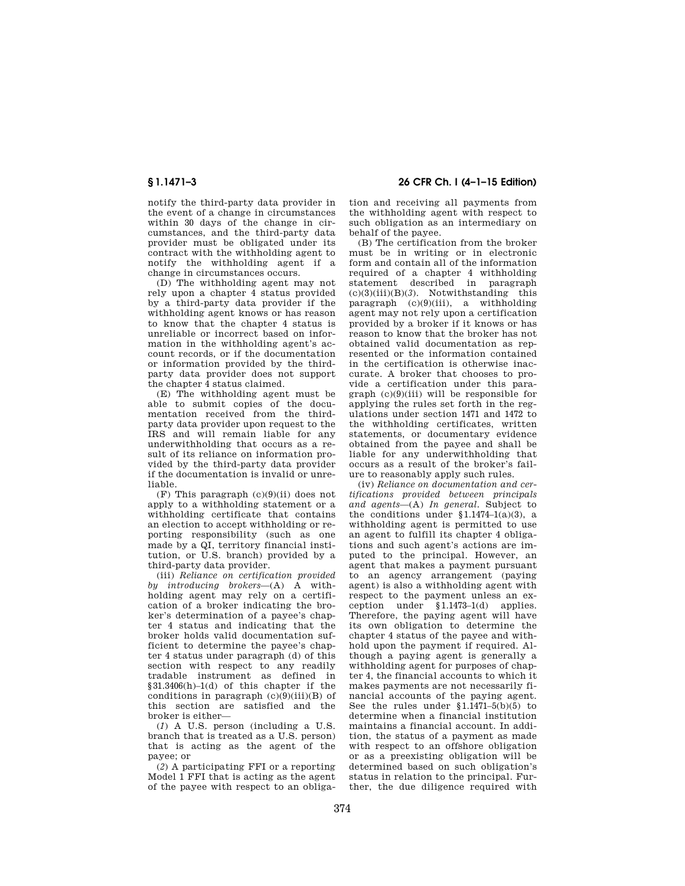notify the third-party data provider in the event of a change in circumstances within 30 days of the change in circumstances, and the third-party data provider must be obligated under its contract with the withholding agent to notify the withholding agent if a change in circumstances occurs.

(D) The withholding agent may not rely upon a chapter 4 status provided by a third-party data provider if the withholding agent knows or has reason to know that the chapter 4 status is unreliable or incorrect based on information in the withholding agent's account records, or if the documentation or information provided by the thirdparty data provider does not support the chapter 4 status claimed.

(E) The withholding agent must be able to submit copies of the documentation received from the thirdparty data provider upon request to the IRS and will remain liable for any underwithholding that occurs as a result of its reliance on information provided by the third-party data provider if the documentation is invalid or unreliable.

 $(F)$  This paragraph  $(c)(9)(ii)$  does not apply to a withholding statement or a withholding certificate that contains an election to accept withholding or reporting responsibility (such as one made by a QI, territory financial institution, or U.S. branch) provided by a third-party data provider.

(iii) *Reliance on certification provided by introducing brokers*—(A) A withholding agent may rely on a certification of a broker indicating the broker's determination of a payee's chapter 4 status and indicating that the broker holds valid documentation sufficient to determine the payee's chapter 4 status under paragraph (d) of this section with respect to any readily tradable instrument as defined in §31.3406(h)–1(d) of this chapter if the conditions in paragraph  $(c)(9)(iii)(B)$  of this section are satisfied and the broker is either—

(*1*) A U.S. person (including a U.S. branch that is treated as a U.S. person) that is acting as the agent of the payee; or

(*2*) A participating FFI or a reporting Model 1 FFI that is acting as the agent of the payee with respect to an obliga-

**§ 1.1471–3 26 CFR Ch. I (4–1–15 Edition)** 

tion and receiving all payments from the withholding agent with respect to such obligation as an intermediary on behalf of the payee.

(B) The certification from the broker must be in writing or in electronic form and contain all of the information required of a chapter 4 withholding statement described in paragraph (c)(3)(iii)(B)(*3*). Notwithstanding this paragraph  $(c)(9)(iii)$ , a withholding agent may not rely upon a certification provided by a broker if it knows or has reason to know that the broker has not obtained valid documentation as represented or the information contained in the certification is otherwise inaccurate. A broker that chooses to provide a certification under this paragraph (c)(9)(iii) will be responsible for applying the rules set forth in the regulations under section 1471 and 1472 to the withholding certificates, written statements, or documentary evidence obtained from the payee and shall be liable for any underwithholding that occurs as a result of the broker's failure to reasonably apply such rules.

(iv) *Reliance on documentation and certifications provided between principals and agents*—(A) *In general.* Subject to the conditions under  $$1.1474-1(a)(3)$ , a withholding agent is permitted to use an agent to fulfill its chapter 4 obligations and such agent's actions are imputed to the principal. However, an agent that makes a payment pursuant to an agency arrangement (paying agent) is also a withholding agent with respect to the payment unless an exception under §1.1473–1(d) applies. Therefore, the paying agent will have its own obligation to determine the chapter 4 status of the payee and withhold upon the payment if required. Although a paying agent is generally a withholding agent for purposes of chapter 4, the financial accounts to which it makes payments are not necessarily financial accounts of the paying agent. See the rules under §1.1471–5(b)(5) to determine when a financial institution maintains a financial account. In addition, the status of a payment as made with respect to an offshore obligation or as a preexisting obligation will be determined based on such obligation's status in relation to the principal. Further, the due diligence required with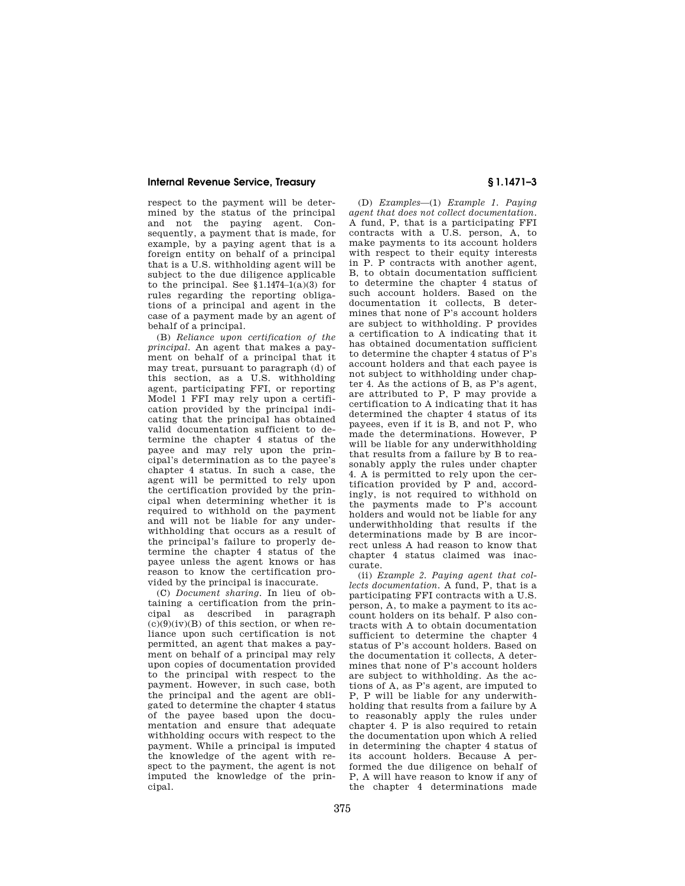respect to the payment will be determined by the status of the principal and not the paying agent. Consequently, a payment that is made, for example, by a paying agent that is a foreign entity on behalf of a principal that is a U.S. withholding agent will be subject to the due diligence applicable to the principal. See  $$1.1474-1(a)(3)$  for rules regarding the reporting obligations of a principal and agent in the case of a payment made by an agent of behalf of a principal.

(B) *Reliance upon certification of the principal.* An agent that makes a payment on behalf of a principal that it may treat, pursuant to paragraph (d) of this section, as a U.S. withholding agent, participating FFI, or reporting Model 1 FFI may rely upon a certification provided by the principal indicating that the principal has obtained valid documentation sufficient to determine the chapter 4 status of the payee and may rely upon the principal's determination as to the payee's chapter 4 status. In such a case, the agent will be permitted to rely upon the certification provided by the principal when determining whether it is required to withhold on the payment and will not be liable for any underwithholding that occurs as a result of the principal's failure to properly determine the chapter 4 status of the payee unless the agent knows or has reason to know the certification provided by the principal is inaccurate.

(C) *Document sharing.* In lieu of obtaining a certification from the principal as described in paragraph  $(c)(9)(iv)(B)$  of this section, or when reliance upon such certification is not permitted, an agent that makes a payment on behalf of a principal may rely upon copies of documentation provided to the principal with respect to the payment. However, in such case, both the principal and the agent are obligated to determine the chapter 4 status of the payee based upon the documentation and ensure that adequate withholding occurs with respect to the payment. While a principal is imputed the knowledge of the agent with respect to the payment, the agent is not imputed the knowledge of the principal.

(D) *Examples*—(1) *Example 1. Paying agent that does not collect documentation.*  A fund, P, that is a participating FFI contracts with a U.S. person, A, to make payments to its account holders with respect to their equity interests in P. P contracts with another agent, B, to obtain documentation sufficient to determine the chapter 4 status of such account holders. Based on the documentation it collects, B determines that none of P's account holders are subject to withholding. P provides a certification to A indicating that it has obtained documentation sufficient to determine the chapter 4 status of P's account holders and that each payee is not subject to withholding under chapter 4. As the actions of B, as P's agent, are attributed to P, P may provide a certification to A indicating that it has determined the chapter 4 status of its payees, even if it is B, and not P, who made the determinations. However, P will be liable for any underwithholding that results from a failure by B to reasonably apply the rules under chapter 4. A is permitted to rely upon the certification provided by P and, accordingly, is not required to withhold on the payments made to P's account holders and would not be liable for any underwithholding that results if the determinations made by B are incorrect unless A had reason to know that chapter 4 status claimed was inaccurate.

(ii) *Example 2. Paying agent that collects documentation.* A fund, P, that is a participating FFI contracts with a U.S. person, A, to make a payment to its account holders on its behalf. P also contracts with A to obtain documentation sufficient to determine the chapter 4 status of P's account holders. Based on the documentation it collects, A determines that none of P's account holders are subject to withholding. As the actions of A, as P's agent, are imputed to P, P will be liable for any underwithholding that results from a failure by A to reasonably apply the rules under chapter 4. P is also required to retain the documentation upon which A relied in determining the chapter 4 status of its account holders. Because A performed the due diligence on behalf of P, A will have reason to know if any of the chapter 4 determinations made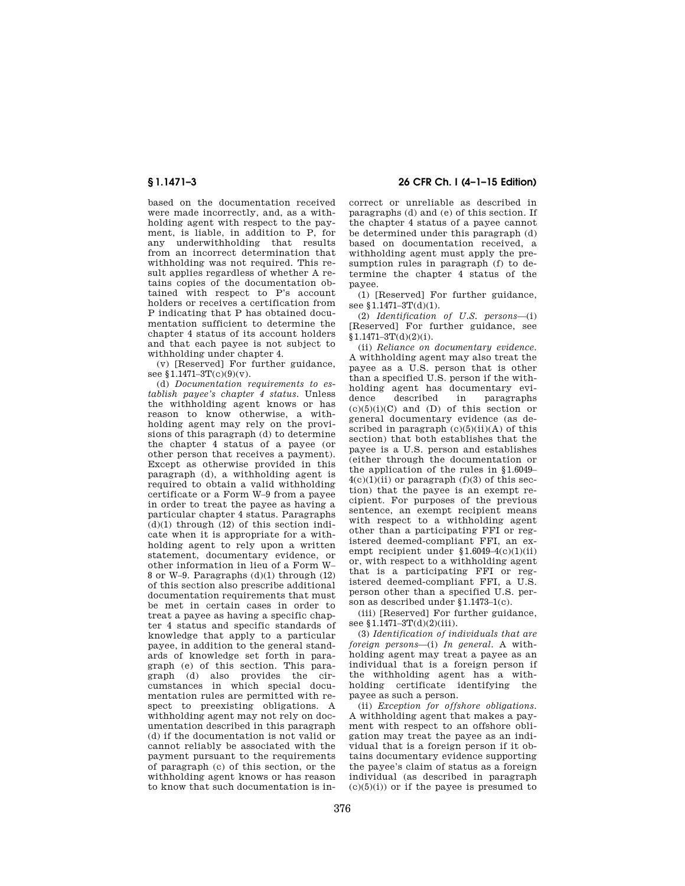based on the documentation received were made incorrectly, and, as a withholding agent with respect to the payment, is liable, in addition to P, for any underwithholding that results from an incorrect determination that withholding was not required. This result applies regardless of whether A retains copies of the documentation obtained with respect to P's account holders or receives a certification from P indicating that P has obtained documentation sufficient to determine the chapter 4 status of its account holders and that each payee is not subject to withholding under chapter 4.

(v) [Reserved] For further guidance, see  $1.1471 - 3T(c)(9)(v)$ .

(d) *Documentation requirements to establish payee's chapter 4 status.* Unless the withholding agent knows or has reason to know otherwise, a withholding agent may rely on the provisions of this paragraph (d) to determine the chapter 4 status of a payee (or other person that receives a payment). Except as otherwise provided in this paragraph (d), a withholding agent is required to obtain a valid withholding certificate or a Form W–9 from a payee in order to treat the payee as having a particular chapter 4 status. Paragraphs  $(d)(1)$  through  $(12)$  of this section indicate when it is appropriate for a withholding agent to rely upon a written statement, documentary evidence, or other information in lieu of a Form W– 8 or W–9. Paragraphs (d)(1) through (12) of this section also prescribe additional documentation requirements that must be met in certain cases in order to treat a payee as having a specific chapter 4 status and specific standards of knowledge that apply to a particular payee, in addition to the general standards of knowledge set forth in paragraph (e) of this section. This paragraph (d) also provides the circumstances in which special documentation rules are permitted with respect to preexisting obligations. A withholding agent may not rely on documentation described in this paragraph (d) if the documentation is not valid or cannot reliably be associated with the payment pursuant to the requirements of paragraph (c) of this section, or the withholding agent knows or has reason to know that such documentation is in-

**§ 1.1471–3 26 CFR Ch. I (4–1–15 Edition)** 

correct or unreliable as described in paragraphs (d) and (e) of this section. If the chapter 4 status of a payee cannot be determined under this paragraph (d) based on documentation received, a withholding agent must apply the presumption rules in paragraph (f) to determine the chapter 4 status of the payee.

(1) [Reserved] For further guidance, see §1.1471-3T(d)(1).

(2) *Identification of U.S. persons*—(i) [Reserved] For further guidance, see  $$1.1471 - 3T(d)(2)(i).$ 

(ii) *Reliance on documentary evidence.*  A withholding agent may also treat the payee as a U.S. person that is other than a specified U.S. person if the withholding agent has documentary evidence described in paragraphs  $(c)(5)(i)(C)$  and  $(D)$  of this section or general documentary evidence (as described in paragraph  $(c)(5)(ii)(A)$  of this section) that both establishes that the payee is a U.S. person and establishes (either through the documentation or the application of the rules in §1.6049–  $4(c)(1)(ii)$  or paragraph  $(f)(3)$  of this section) that the payee is an exempt recipient. For purposes of the previous sentence, an exempt recipient means with respect to a withholding agent other than a participating FFI or registered deemed-compliant FFI, an exempt recipient under  $$1.6049-4(c)(1)(ii)$ or, with respect to a withholding agent that is a participating FFI or registered deemed-compliant FFI, a U.S. person other than a specified U.S. person as described under §1.1473–1(c).

(iii) [Reserved] For further guidance, see §1.1471-3T(d)(2)(iii).

(3) *Identification of individuals that are foreign persons*—(i) *In general.* A withholding agent may treat a payee as an individual that is a foreign person if the withholding agent has a withholding certificate identifying the payee as such a person.

(ii) *Exception for offshore obligations.*  A withholding agent that makes a payment with respect to an offshore obligation may treat the payee as an individual that is a foreign person if it obtains documentary evidence supporting the payee's claim of status as a foreign individual (as described in paragraph  $(c)(5)(i)$  or if the payee is presumed to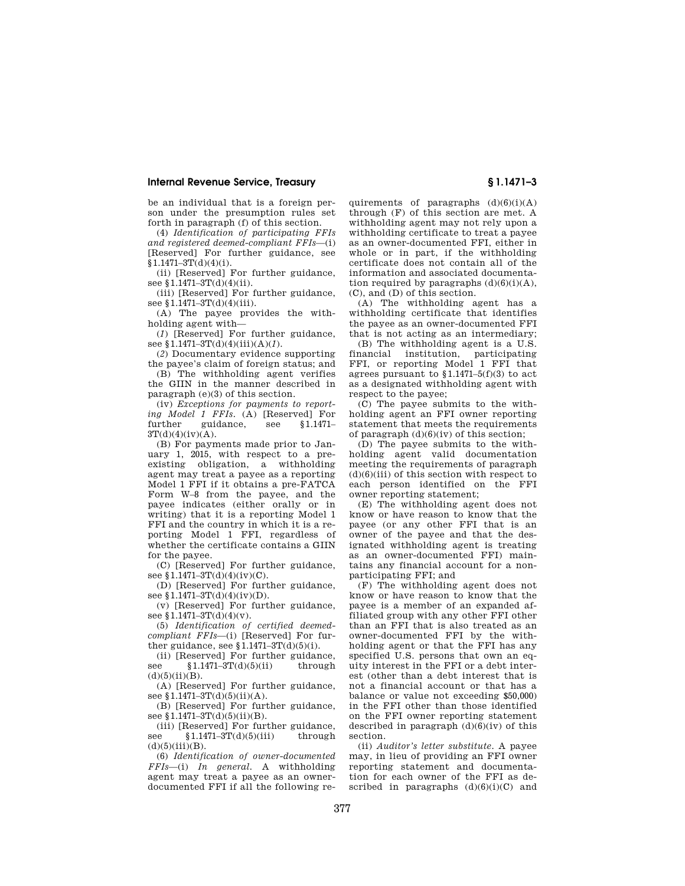be an individual that is a foreign person under the presumption rules set forth in paragraph (f) of this section.

(4) *Identification of participating FFIs and registered deemed-compliant FFIs*—(i) [Reserved] For further guidance, see  $$1.1471 - 3T(d)(4)(i).$ 

(ii) [Reserved] For further guidance, see §1.1471-3T(d)(4)(ii).

(iii) [Reserved] For further guidance, see §1.1471-3T(d)(4)(iii).

(A) The payee provides the withholding agent with—

(*1*) [Reserved] For further guidance, see §1.1471–3T(d)(4)(iii)(A)(*1*).

(*2*) Documentary evidence supporting the payee's claim of foreign status; and

(B) The withholding agent verifies the GIIN in the manner described in paragraph (e)(3) of this section.

(iv) *Exceptions for payments to reporting Model 1 FFIs.* (A) [Reserved] For further guidance, see §1.1471–  $3T(d)(4)(iv)(A)$ .

(B) For payments made prior to January 1, 2015, with respect to a preexisting obligation, a withholding agent may treat a payee as a reporting Model 1 FFI if it obtains a pre-FATCA Form W–8 from the payee, and the payee indicates (either orally or in writing) that it is a reporting Model 1 FFI and the country in which it is a reporting Model 1 FFI, regardless of whether the certificate contains a GIIN for the payee.

(C) [Reserved] For further guidance, see §1.1471-3T(d)(4)(iv)(C).

(D) [Reserved] For further guidance, see §1.1471-3T(d)(4)(iv)(D).

(v) [Reserved] For further guidance, see  $\sqrt{1.1471-3T(d)}(4)(v)$ .

(5) *Identification of certified deemedcompliant FFIs*—(i) [Reserved] For further guidance, see  $1.1471-3T(d)(5)(i)$ .

(ii) [Reserved] For further guidance, see  $$1.1471-3T(d)(5)(ii)$  through  $(d)(5)(ii)(B)$ .

(A) [Reserved] For further guidance, see  $$1.1471-3T(d)(5)(ii)(A).$ 

(B) [Reserved] For further guidance, see §1.1471-3T(d)(5)(ii)(B).

(iii) [Reserved] For further guidance,<br>ae  $$1.1471-3T(d)(5)(iii)$  through see  $$1.1471 - 3T(d)(5)(iii)$  $(d)(5)(iii)(B).$ 

(6) *Identification of owner-documented FFIs*—(i) *In general.* A withholding agent may treat a payee as an ownerdocumented FFI if all the following requirements of paragraphs  $(d)(6)(i)(A)$ through (F) of this section are met. A withholding agent may not rely upon a withholding certificate to treat a payee as an owner-documented FFI, either in whole or in part, if the withholding certificate does not contain all of the information and associated documentation required by paragraphs  $(d)(6)(i)(A)$ , (C), and (D) of this section.

(A) The withholding agent has a withholding certificate that identifies the payee as an owner-documented FFI that is not acting as an intermediary;

(B) The withholding agent is a U.S. financial institution, participating FFI, or reporting Model 1 FFI that agrees pursuant to §1.1471–5(f)(3) to act as a designated withholding agent with respect to the payee;

(C) The payee submits to the withholding agent an FFI owner reporting statement that meets the requirements of paragraph  $(d)(6)(iv)$  of this section;

(D) The payee submits to the withholding agent valid documentation meeting the requirements of paragraph  $(d)(6)(iii)$  of this section with respect to each person identified on the FFI owner reporting statement;

(E) The withholding agent does not know or have reason to know that the payee (or any other FFI that is an owner of the payee and that the designated withholding agent is treating as an owner-documented FFI) maintains any financial account for a nonparticipating FFI; and

(F) The withholding agent does not know or have reason to know that the payee is a member of an expanded affiliated group with any other FFI other than an FFI that is also treated as an owner-documented FFI by the withholding agent or that the FFI has any specified U.S. persons that own an equity interest in the FFI or a debt interest (other than a debt interest that is not a financial account or that has a balance or value not exceeding \$50,000) in the FFI other than those identified on the FFI owner reporting statement described in paragraph  $(d)(6)(iv)$  of this section.

(ii) *Auditor's letter substitute.* A payee may, in lieu of providing an FFI owner reporting statement and documentation for each owner of the FFI as described in paragraphs  $(d)(6)(i)(C)$  and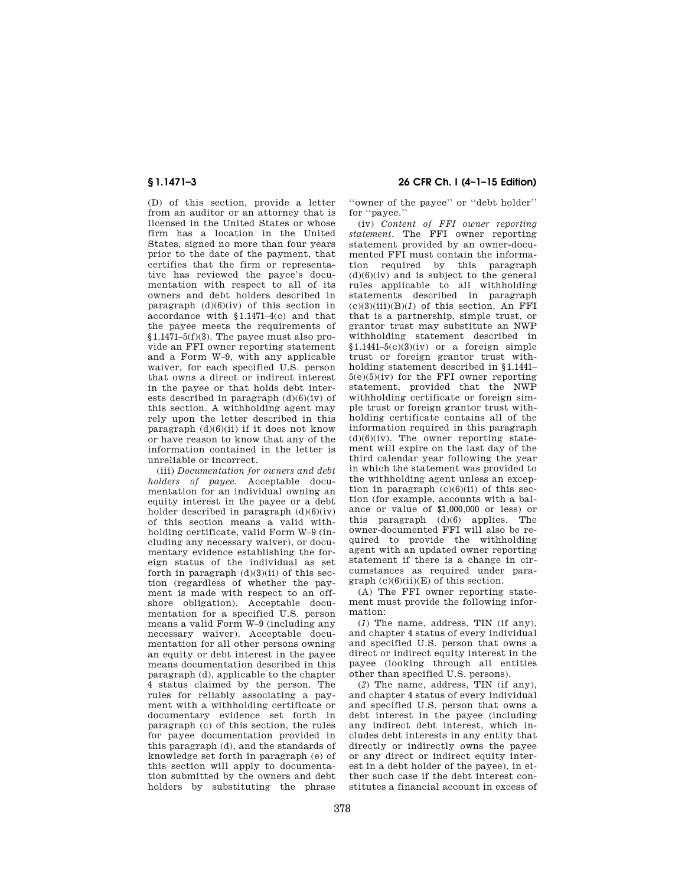(D) of this section, provide a letter from an auditor or an attorney that is licensed in the United States or whose firm has a location in the United States, signed no more than four years prior to the date of the payment, that certifies that the firm or representative has reviewed the payee's documentation with respect to all of its owners and debt holders described in paragraph  $(d)(6)(iv)$  of this section in accordance with §1.1471–4(c) and that the payee meets the requirements of §1.1471–5(f)(3). The payee must also provide an FFI owner reporting statement and a Form W–9, with any applicable waiver, for each specified U.S. person that owns a direct or indirect interest in the payee or that holds debt interests described in paragraph  $(d)(6)(iv)$  of this section. A withholding agent may rely upon the letter described in this paragraph  $(d)(6)(ii)$  if it does not know or have reason to know that any of the information contained in the letter is unreliable or incorrect.

(iii) *Documentation for owners and debt holders of payee.* Acceptable documentation for an individual owning an equity interest in the payee or a debt holder described in paragraph  $(d)(6)(iv)$ of this section means a valid withholding certificate, valid Form W–9 (including any necessary waiver), or documentary evidence establishing the foreign status of the individual as set forth in paragraph  $(d)(3)(ii)$  of this section (regardless of whether the payment is made with respect to an offshore obligation). Acceptable documentation for a specified U.S. person means a valid Form W–9 (including any necessary waiver). Acceptable documentation for all other persons owning an equity or debt interest in the payee means documentation described in this paragraph (d), applicable to the chapter 4 status claimed by the person. The rules for reliably associating a payment with a withholding certificate or documentary evidence set forth in paragraph (c) of this section, the rules for payee documentation provided in this paragraph (d), and the standards of knowledge set forth in paragraph (e) of this section will apply to documentation submitted by the owners and debt holders by substituting the phrase

**§ 1.1471–3 26 CFR Ch. I (4–1–15 Edition)** 

''owner of the payee'' or ''debt holder'' for ''payee.''

(iv) *Content of FFI owner reporting statement.* The FFI owner reporting statement provided by an owner-documented FFI must contain the information required by this paragraph  $(d)(6)(iv)$  and is subject to the general rules applicable to all withholding statements described in paragraph  $(c)(3)(iii)(B)(1)$  of this section. An FFI that is a partnership, simple trust, or grantor trust may substitute an NWP withholding statement described in  $$1.1441-5(c)(3)(iv)$  or a foreign simple trust or foreign grantor trust withholding statement described in §1.1441–  $5(e)(5)(iv)$  for the FFI owner reporting statement, provided that the NWP withholding certificate or foreign simple trust or foreign grantor trust withholding certificate contains all of the information required in this paragraph  $(d)(6)(iv)$ . The owner reporting statement will expire on the last day of the third calendar year following the year in which the statement was provided to the withholding agent unless an exception in paragraph  $(c)(6)(ii)$  of this section (for example, accounts with a balance or value of \$1,000,000 or less) or this paragraph (d)(6) applies. The owner-documented FFI will also be required to provide the withholding agent with an updated owner reporting statement if there is a change in circumstances as required under para $graph (c)(6)(ii)(E)$  of this section.

(A) The FFI owner reporting statement must provide the following information:

(*1*) The name, address, TIN (if any), and chapter 4 status of every individual and specified U.S. person that owns a direct or indirect equity interest in the payee (looking through all entities other than specified U.S. persons).

(*2*) The name, address, TIN (if any), and chapter 4 status of every individual and specified U.S. person that owns a debt interest in the payee (including any indirect debt interest, which includes debt interests in any entity that directly or indirectly owns the payee or any direct or indirect equity interest in a debt holder of the payee), in either such case if the debt interest constitutes a financial account in excess of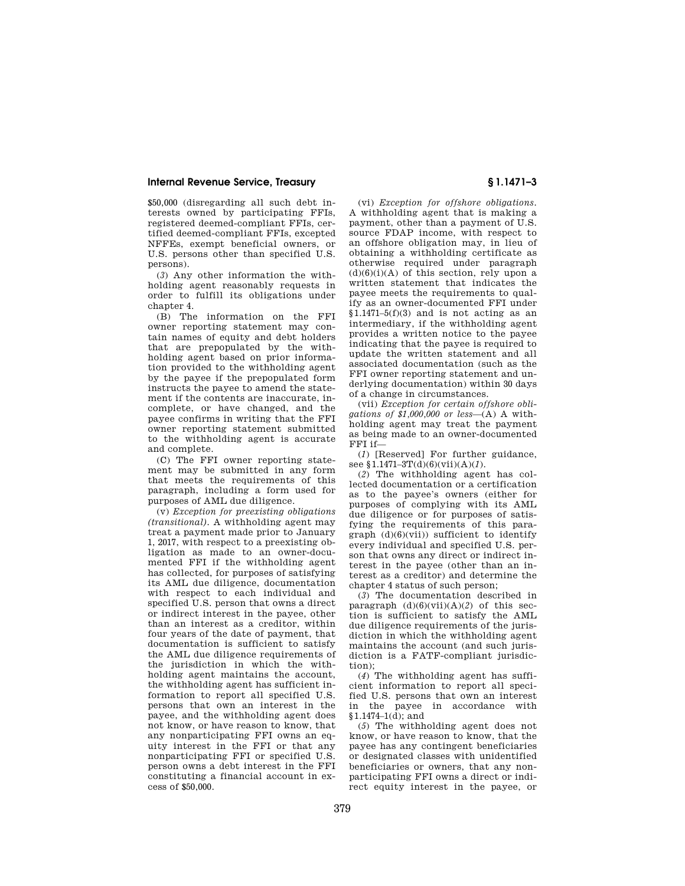\$50,000 (disregarding all such debt interests owned by participating FFIs, registered deemed-compliant FFIs, certified deemed-compliant FFIs, excepted NFFEs, exempt beneficial owners, or U.S. persons other than specified U.S. persons).

(*3*) Any other information the withholding agent reasonably requests in order to fulfill its obligations under chapter 4.

(B) The information on the FFI owner reporting statement may contain names of equity and debt holders that are prepopulated by the withholding agent based on prior information provided to the withholding agent by the payee if the prepopulated form instructs the payee to amend the statement if the contents are inaccurate, incomplete, or have changed, and the payee confirms in writing that the FFI owner reporting statement submitted to the withholding agent is accurate and complete.

(C) The FFI owner reporting statement may be submitted in any form that meets the requirements of this paragraph, including a form used for purposes of AML due diligence.

(v) *Exception for preexisting obligations (transitional).* A withholding agent may treat a payment made prior to January 1, 2017, with respect to a preexisting obligation as made to an owner-documented FFI if the withholding agent has collected, for purposes of satisfying its AML due diligence, documentation with respect to each individual and specified U.S. person that owns a direct or indirect interest in the payee, other than an interest as a creditor, within four years of the date of payment, that documentation is sufficient to satisfy the AML due diligence requirements of the jurisdiction in which the withholding agent maintains the account, the withholding agent has sufficient information to report all specified U.S. persons that own an interest in the payee, and the withholding agent does not know, or have reason to know, that any nonparticipating FFI owns an equity interest in the FFI or that any nonparticipating FFI or specified U.S. person owns a debt interest in the FFI constituting a financial account in excess of \$50,000.

(vi) *Exception for offshore obligations.*  A withholding agent that is making a payment, other than a payment of U.S. source FDAP income, with respect to an offshore obligation may, in lieu of obtaining a withholding certificate as otherwise required under paragraph  $(d)(6)(i)(A)$  of this section, rely upon a written statement that indicates the payee meets the requirements to qualify as an owner-documented FFI under  $$1.1471-5(f)(3)$  and is not acting as an intermediary, if the withholding agent provides a written notice to the payee indicating that the payee is required to update the written statement and all associated documentation (such as the FFI owner reporting statement and underlying documentation) within 30 days of a change in circumstances.

(vii) *Exception for certain offshore obligations of \$1,000,000 or less*—(A) A withholding agent may treat the payment as being made to an owner-documented FFI if—

(*1*) [Reserved] For further guidance, see §1.1471–3T(d)(6)(vii)(A)(*1*).

(*2*) The withholding agent has collected documentation or a certification as to the payee's owners (either for purposes of complying with its AML due diligence or for purposes of satisfying the requirements of this paragraph  $(d)(6)(\n$ ii)) sufficient to identify every individual and specified U.S. person that owns any direct or indirect interest in the payee (other than an interest as a creditor) and determine the chapter 4 status of such person;

(*3*) The documentation described in paragraph  $(d)(6)(\n{\text{vii}})(A)(2)$  of this section is sufficient to satisfy the AML due diligence requirements of the jurisdiction in which the withholding agent maintains the account (and such jurisdiction is a FATF-compliant jurisdiction);

(*4*) The withholding agent has sufficient information to report all specified U.S. persons that own an interest in the payee in accordance with  $$1.1474–1(d);$  and

(*5*) The withholding agent does not know, or have reason to know, that the payee has any contingent beneficiaries or designated classes with unidentified beneficiaries or owners, that any nonparticipating FFI owns a direct or indirect equity interest in the payee, or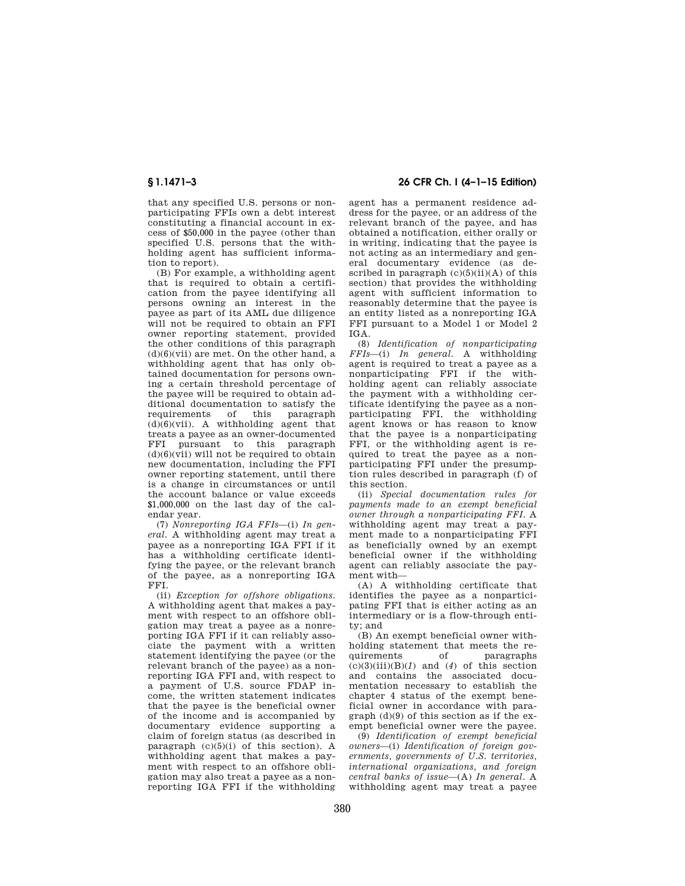that any specified U.S. persons or nonparticipating FFIs own a debt interest constituting a financial account in excess of \$50,000 in the payee (other than specified U.S. persons that the withholding agent has sufficient information to report).

(B) For example, a withholding agent that is required to obtain a certification from the payee identifying all persons owning an interest in the payee as part of its AML due diligence will not be required to obtain an FFI owner reporting statement, provided the other conditions of this paragraph  $(d)(6)(vii)$  are met. On the other hand, a withholding agent that has only obtained documentation for persons owning a certain threshold percentage of the payee will be required to obtain additional documentation to satisfy the<br>requirements of this paragraph requirements  $(d)(6)(vii)$ . A withholding agent that treats a payee as an owner-documented FFI pursuant to this paragraph  $(d)(6)(vii)$  will not be required to obtain new documentation, including the FFI owner reporting statement, until there is a change in circumstances or until the account balance or value exceeds \$1,000,000 on the last day of the calendar year.

(7) *Nonreporting IGA FFIs*—(i) *In general.* A withholding agent may treat a payee as a nonreporting IGA FFI if it has a withholding certificate identifying the payee, or the relevant branch of the payee, as a nonreporting IGA FFI.

(ii) *Exception for offshore obligations.*  A withholding agent that makes a payment with respect to an offshore obligation may treat a payee as a nonreporting IGA FFI if it can reliably associate the payment with a written statement identifying the payee (or the relevant branch of the payee) as a nonreporting IGA FFI and, with respect to a payment of U.S. source FDAP income, the written statement indicates that the payee is the beneficial owner of the income and is accompanied by documentary evidence supporting a claim of foreign status (as described in paragraph  $(c)(5)(i)$  of this section). A withholding agent that makes a payment with respect to an offshore obligation may also treat a payee as a nonreporting IGA FFI if the withholding

**§ 1.1471–3 26 CFR Ch. I (4–1–15 Edition)** 

agent has a permanent residence address for the payee, or an address of the relevant branch of the payee, and has obtained a notification, either orally or in writing, indicating that the payee is not acting as an intermediary and general documentary evidence (as described in paragraph  $(c)(5)(ii)(A)$  of this section) that provides the withholding agent with sufficient information to reasonably determine that the payee is an entity listed as a nonreporting IGA FFI pursuant to a Model 1 or Model 2 IGA.

(8) *Identification of nonparticipating FFIs*—(i) *In general.* A withholding agent is required to treat a payee as a nonparticipating FFI if the withholding agent can reliably associate the payment with a withholding certificate identifying the payee as a nonparticipating FFI, the withholding agent knows or has reason to know that the payee is a nonparticipating FFI, or the withholding agent is required to treat the payee as a nonparticipating FFI under the presumption rules described in paragraph (f) of this section.

(ii) *Special documentation rules for payments made to an exempt beneficial owner through a nonparticipating FFI.* A withholding agent may treat a payment made to a nonparticipating FFI as beneficially owned by an exempt beneficial owner if the withholding agent can reliably associate the payment with—

(A) A withholding certificate that identifies the payee as a nonparticipating FFI that is either acting as an intermediary or is a flow-through entity; and

(B) An exempt beneficial owner withholding statement that meets the requirements of paragraphs  $(c)(3)(iii)(B)(1)$  and  $(4)$  of this section and contains the associated documentation necessary to establish the chapter 4 status of the exempt beneficial owner in accordance with paragraph (d)(9) of this section as if the exempt beneficial owner were the payee.

(9) *Identification of exempt beneficial owners*—(i) *Identification of foreign governments, governments of U.S. territories, international organizations, and foreign central banks of issue*—(A) *In general.* A withholding agent may treat a payee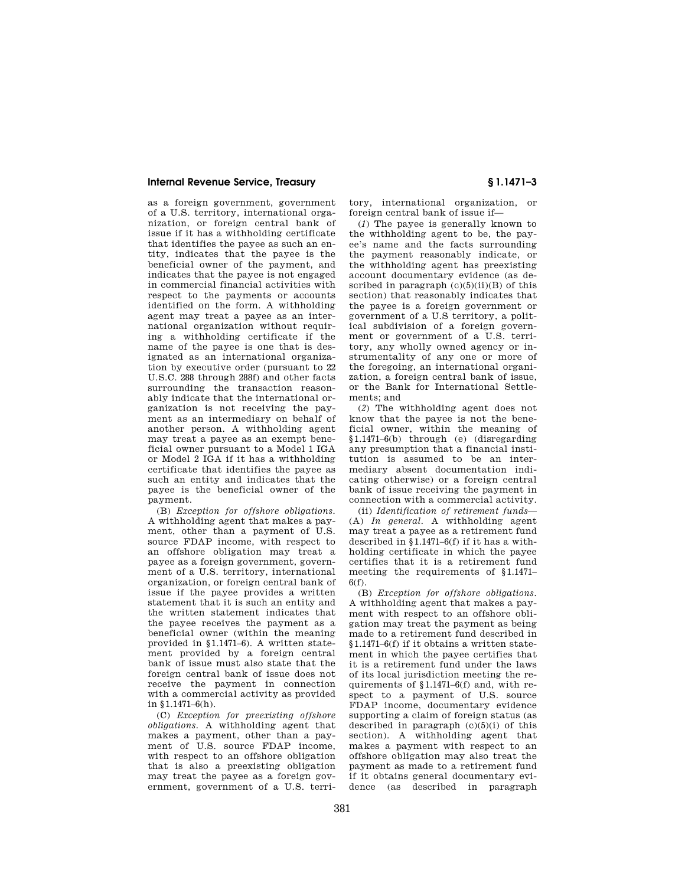as a foreign government, government of a U.S. territory, international organization, or foreign central bank of issue if it has a withholding certificate that identifies the payee as such an entity, indicates that the payee is the beneficial owner of the payment, and indicates that the payee is not engaged in commercial financial activities with respect to the payments or accounts identified on the form. A withholding agent may treat a payee as an international organization without requiring a withholding certificate if the name of the payee is one that is designated as an international organization by executive order (pursuant to 22 U.S.C. 288 through 288f) and other facts surrounding the transaction reasonably indicate that the international organization is not receiving the payment as an intermediary on behalf of another person. A withholding agent may treat a payee as an exempt beneficial owner pursuant to a Model 1 IGA or Model 2 IGA if it has a withholding certificate that identifies the payee as such an entity and indicates that the payee is the beneficial owner of the payment.

(B) *Exception for offshore obligations.*  A withholding agent that makes a payment, other than a payment of U.S. source FDAP income, with respect to an offshore obligation may treat a payee as a foreign government, government of a U.S. territory, international organization, or foreign central bank of issue if the payee provides a written statement that it is such an entity and the written statement indicates that the payee receives the payment as a beneficial owner (within the meaning provided in §1.1471–6). A written statement provided by a foreign central bank of issue must also state that the foreign central bank of issue does not receive the payment in connection with a commercial activity as provided in §1.1471–6(h).

(C) *Exception for preexisting offshore obligations.* A withholding agent that makes a payment, other than a payment of U.S. source FDAP income, with respect to an offshore obligation that is also a preexisting obligation may treat the payee as a foreign government, government of a U.S. territory, international organization, or foreign central bank of issue if—

(*1*) The payee is generally known to the withholding agent to be, the payee's name and the facts surrounding the payment reasonably indicate, or the withholding agent has preexisting account documentary evidence (as described in paragraph  $(c)(5)(ii)(B)$  of this section) that reasonably indicates that the payee is a foreign government or government of a U.S territory, a political subdivision of a foreign government or government of a U.S. territory, any wholly owned agency or instrumentality of any one or more of the foregoing, an international organization, a foreign central bank of issue, or the Bank for International Settlements; and

(*2*) The withholding agent does not know that the payee is not the beneficial owner, within the meaning of §1.1471–6(b) through (e) (disregarding any presumption that a financial institution is assumed to be an intermediary absent documentation indicating otherwise) or a foreign central bank of issue receiving the payment in connection with a commercial activity.

(ii) *Identification of retirement funds*— (A) *In general.* A withholding agent may treat a payee as a retirement fund described in §1.1471–6(f) if it has a withholding certificate in which the payee certifies that it is a retirement fund meeting the requirements of §1.1471– 6(f).

(B) *Exception for offshore obligations.*  A withholding agent that makes a payment with respect to an offshore obligation may treat the payment as being made to a retirement fund described in §1.1471–6(f) if it obtains a written statement in which the payee certifies that it is a retirement fund under the laws of its local jurisdiction meeting the requirements of §1.1471–6(f) and, with respect to a payment of U.S. source FDAP income, documentary evidence supporting a claim of foreign status (as described in paragraph (c)(5)(i) of this section). A withholding agent that makes a payment with respect to an offshore obligation may also treat the payment as made to a retirement fund if it obtains general documentary evidence (as described in paragraph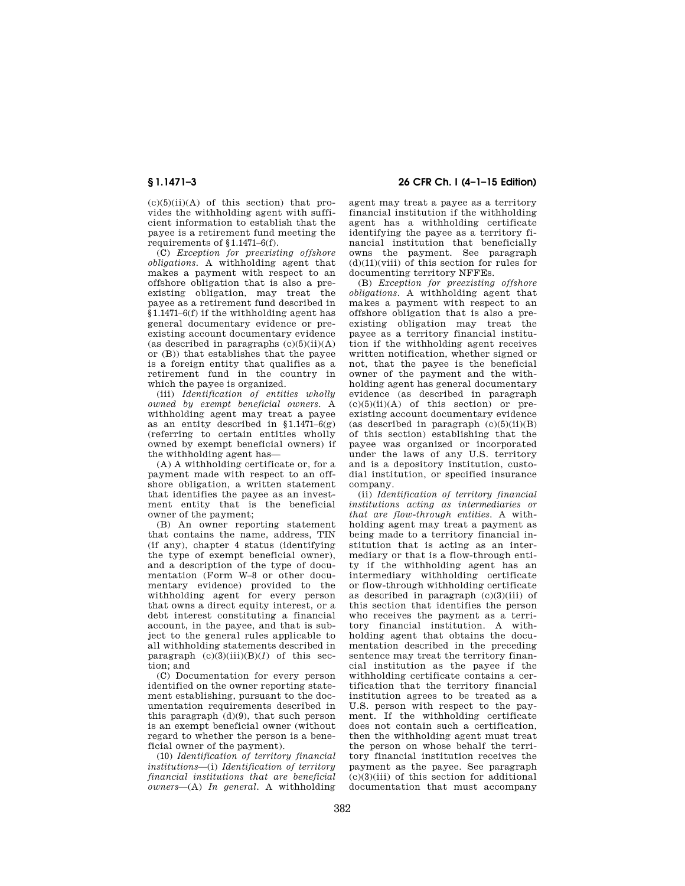$(c)(5)(ii)(A)$  of this section) that provides the withholding agent with sufficient information to establish that the payee is a retirement fund meeting the requirements of §1.1471–6(f).

(C) *Exception for preexisting offshore obligations.* A withholding agent that makes a payment with respect to an offshore obligation that is also a preexisting obligation, may treat the payee as a retirement fund described in §1.1471–6(f) if the withholding agent has general documentary evidence or preexisting account documentary evidence (as described in paragraphs  $(c)(5)(ii)(A)$ or (B)) that establishes that the payee is a foreign entity that qualifies as a retirement fund in the country in which the payee is organized.

(iii) *Identification of entities wholly owned by exempt beneficial owners.* A withholding agent may treat a payee as an entity described in  $$1.1471-6(g)$ (referring to certain entities wholly owned by exempt beneficial owners) if the withholding agent has—

(A) A withholding certificate or, for a payment made with respect to an offshore obligation, a written statement that identifies the payee as an investment entity that is the beneficial owner of the payment;

(B) An owner reporting statement that contains the name, address, TIN (if any), chapter 4 status (identifying the type of exempt beneficial owner), and a description of the type of documentation (Form W–8 or other documentary evidence) provided to the withholding agent for every person that owns a direct equity interest, or a debt interest constituting a financial account, in the payee, and that is subject to the general rules applicable to all withholding statements described in paragraph  $(c)(3)(iii)(B)(1)$  of this section; and

(C) Documentation for every person identified on the owner reporting statement establishing, pursuant to the documentation requirements described in this paragraph  $(d)(9)$ , that such person is an exempt beneficial owner (without regard to whether the person is a beneficial owner of the payment).

(10) *Identification of territory financial institutions*—(i) *Identification of territory financial institutions that are beneficial owners*—(A) *In general.* A withholding

**§ 1.1471–3 26 CFR Ch. I (4–1–15 Edition)** 

agent may treat a payee as a territory financial institution if the withholding agent has a withholding certificate identifying the payee as a territory financial institution that beneficially owns the payment. See paragraph  $(d)(11)($ viii) of this section for rules for documenting territory NFFEs.

(B) *Exception for preexisting offshore obligations.* A withholding agent that makes a payment with respect to an offshore obligation that is also a preexisting obligation may treat the payee as a territory financial institution if the withholding agent receives written notification, whether signed or not, that the payee is the beneficial owner of the payment and the withholding agent has general documentary evidence (as described in paragraph  $(c)(5)(ii)(A)$  of this section) or preexisting account documentary evidence (as described in paragraph  $(c)(5)(ii)(B)$ of this section) establishing that the payee was organized or incorporated under the laws of any U.S. territory and is a depository institution, custodial institution, or specified insurance company.

(ii) *Identification of territory financial institutions acting as intermediaries or that are flow-through entities.* A withholding agent may treat a payment as being made to a territory financial institution that is acting as an intermediary or that is a flow-through entity if the withholding agent has an intermediary withholding certificate or flow-through withholding certificate as described in paragraph (c)(3)(iii) of this section that identifies the person who receives the payment as a territory financial institution. A withholding agent that obtains the documentation described in the preceding sentence may treat the territory financial institution as the payee if the withholding certificate contains a certification that the territory financial institution agrees to be treated as a U.S. person with respect to the payment. If the withholding certificate does not contain such a certification, then the withholding agent must treat the person on whose behalf the territory financial institution receives the payment as the payee. See paragraph (c)(3)(iii) of this section for additional documentation that must accompany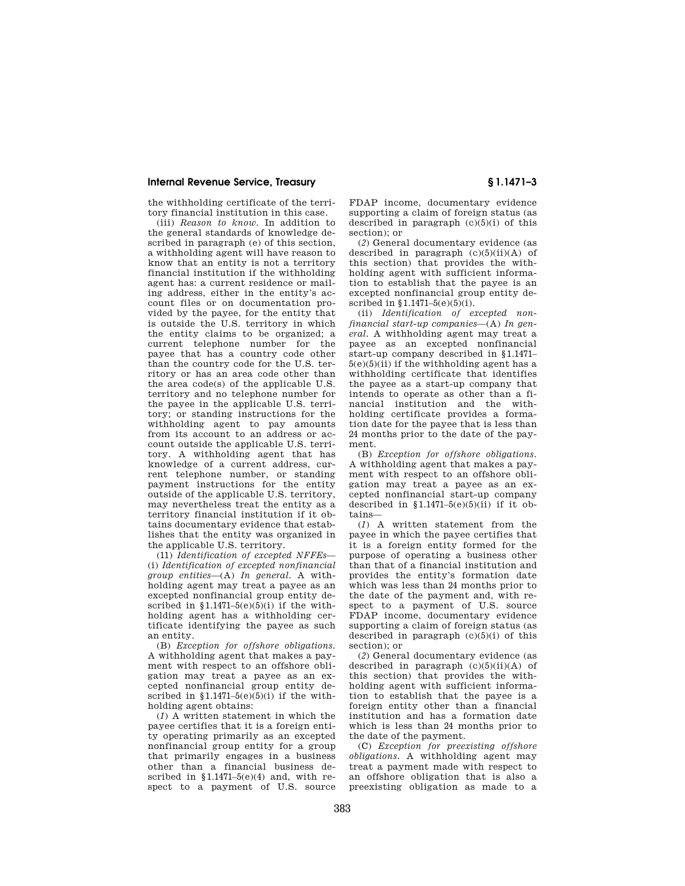the withholding certificate of the territory financial institution in this case.

(iii) *Reason to know.* In addition to the general standards of knowledge described in paragraph (e) of this section, a withholding agent will have reason to know that an entity is not a territory financial institution if the withholding agent has: a current residence or mailing address, either in the entity's account files or on documentation provided by the payee, for the entity that is outside the U.S. territory in which the entity claims to be organized; a current telephone number for the payee that has a country code other than the country code for the U.S. territory or has an area code other than the area code(s) of the applicable U.S. territory and no telephone number for the payee in the applicable U.S. territory; or standing instructions for the withholding agent to pay amounts from its account to an address or account outside the applicable U.S. territory. A withholding agent that has knowledge of a current address, current telephone number, or standing payment instructions for the entity outside of the applicable U.S. territory, may nevertheless treat the entity as a territory financial institution if it obtains documentary evidence that establishes that the entity was organized in the applicable U.S. territory.

(11) *Identification of excepted NFFEs*— (i) *Identification of excepted nonfinancial group entities*—(A) *In general.* A withholding agent may treat a payee as an excepted nonfinancial group entity described in  $$1.1471-5(e)(5)(i)$  if the withholding agent has a withholding certificate identifying the payee as such an entity.

(B) *Exception for offshore obligations.*  A withholding agent that makes a payment with respect to an offshore obligation may treat a payee as an excepted nonfinancial group entity described in  $$1.1471-5(e)(5)(i)$  if the withholding agent obtains:

(*1*) A written statement in which the payee certifies that it is a foreign entity operating primarily as an excepted nonfinancial group entity for a group that primarily engages in a business other than a financial business described in  $$1.1471-5(e)(4)$  and, with respect to a payment of U.S. source

FDAP income, documentary evidence supporting a claim of foreign status (as described in paragraph (c)(5)(i) of this section); or

(*2*) General documentary evidence (as described in paragraph  $(c)(5)(ii)(A)$  of this section) that provides the withholding agent with sufficient information to establish that the payee is an excepted nonfinancial group entity described in §1.1471–5(e)(5)(i).

(ii) *Identification of excepted nonfinancial start-up companies*—(A) *In general.* A withholding agent may treat a payee as an excepted nonfinancial start-up company described in §1.1471–  $5(e)(5)(ii)$  if the withholding agent has a withholding certificate that identifies the payee as a start-up company that intends to operate as other than a financial institution and the withholding certificate provides a formation date for the payee that is less than 24 months prior to the date of the payment.

(B) *Exception for offshore obligations.*  A withholding agent that makes a payment with respect to an offshore obligation may treat a payee as an excepted nonfinancial start-up company described in  $$1.1471-5(e)(5)(ii)$  if it obtains—

(*1*) A written statement from the payee in which the payee certifies that it is a foreign entity formed for the purpose of operating a business other than that of a financial institution and provides the entity's formation date which was less than 24 months prior to the date of the payment and, with respect to a payment of U.S. source FDAP income, documentary evidence supporting a claim of foreign status (as described in paragraph  $(c)(5)(i)$  of this section); or

(*2*) General documentary evidence (as described in paragraph  $(c)(5)(ii)(A)$  of this section) that provides the withholding agent with sufficient information to establish that the payee is a foreign entity other than a financial institution and has a formation date which is less than 24 months prior to the date of the payment.

(C) *Exception for preexisting offshore obligations.* A withholding agent may treat a payment made with respect to an offshore obligation that is also a preexisting obligation as made to a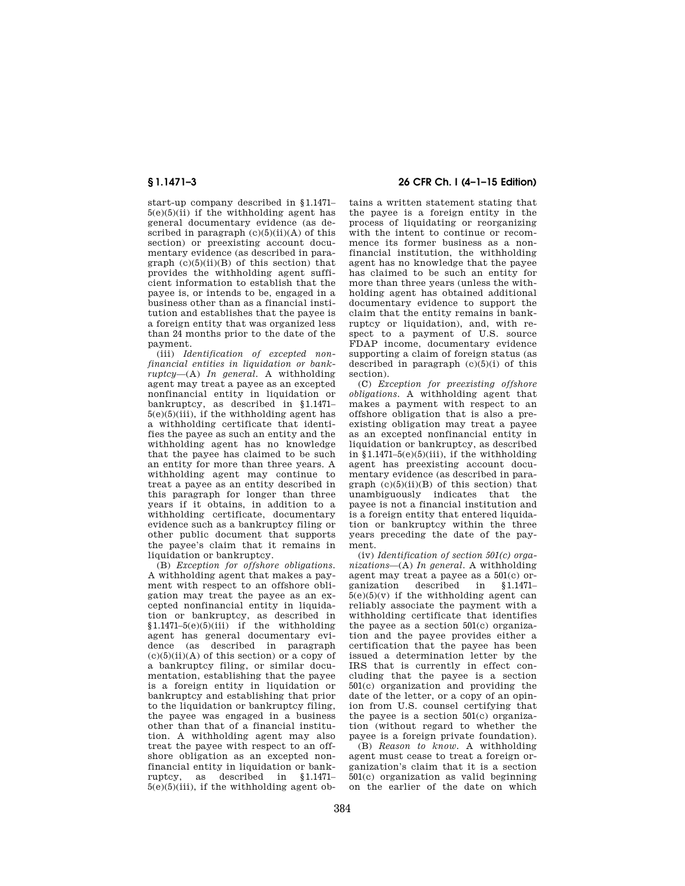start-up company described in §1.1471–  $5(e)(5)(ii)$  if the withholding agent has general documentary evidence (as described in paragraph  $(c)(5)(ii)(A)$  of this section) or preexisting account documentary evidence (as described in paragraph  $(c)(5)(ii)(B)$  of this section) that provides the withholding agent sufficient information to establish that the payee is, or intends to be, engaged in a business other than as a financial institution and establishes that the payee is a foreign entity that was organized less than 24 months prior to the date of the payment.

(iii) *Identification of excepted nonfinancial entities in liquidation or bankruptcy*—(A) *In general.* A withholding agent may treat a payee as an excepted nonfinancial entity in liquidation or bankruptcy, as described in §1.1471–  $5(e)(5)(iii)$ , if the withholding agent has a withholding certificate that identifies the payee as such an entity and the withholding agent has no knowledge that the payee has claimed to be such an entity for more than three years. A withholding agent may continue to treat a payee as an entity described in this paragraph for longer than three years if it obtains, in addition to a withholding certificate, documentary evidence such as a bankruptcy filing or other public document that supports the payee's claim that it remains in liquidation or bankruptcy.

(B) *Exception for offshore obligations.*  A withholding agent that makes a payment with respect to an offshore obligation may treat the payee as an excepted nonfinancial entity in liquidation or bankruptcy, as described in  $$1.1471-5(e)(5)(iii)$  if the withholding agent has general documentary evidence (as described in paragraph  $(c)(5)(ii)(A)$  of this section) or a copy of a bankruptcy filing, or similar documentation, establishing that the payee is a foreign entity in liquidation or bankruptcy and establishing that prior to the liquidation or bankruptcy filing, the payee was engaged in a business other than that of a financial institution. A withholding agent may also treat the payee with respect to an offshore obligation as an excepted nonfinancial entity in liquidation or bankruptcy, as described in §1.1471–  $5(e)(5)(iii)$ , if the withholding agent ob-

# **§ 1.1471–3 26 CFR Ch. I (4–1–15 Edition)**

tains a written statement stating that the payee is a foreign entity in the process of liquidating or reorganizing with the intent to continue or recommence its former business as a nonfinancial institution, the withholding agent has no knowledge that the payee has claimed to be such an entity for more than three years (unless the withholding agent has obtained additional documentary evidence to support the claim that the entity remains in bankruptcy or liquidation), and, with respect to a payment of U.S. source FDAP income, documentary evidence supporting a claim of foreign status (as described in paragraph  $(c)(5)(i)$  of this section).

(C) *Exception for preexisting offshore obligations.* A withholding agent that makes a payment with respect to an offshore obligation that is also a preexisting obligation may treat a payee as an excepted nonfinancial entity in liquidation or bankruptcy, as described in  $$1.1471-5(e)(5)(iii)$ , if the withholding agent has preexisting account documentary evidence (as described in paragraph  $(c)(5)(ii)(B)$  of this section) that unambiguously indicates that the payee is not a financial institution and is a foreign entity that entered liquidation or bankruptcy within the three years preceding the date of the payment.

(iv) *Identification of section 501(c) organizations*—(A) *In general.* A withholding agent may treat a payee as a  $501(c)$  or-<br>ganization described in  $$1.1471$ described in  $5(e)(5)(v)$  if the withholding agent can reliably associate the payment with a withholding certificate that identifies the payee as a section 501(c) organization and the payee provides either a certification that the payee has been issued a determination letter by the IRS that is currently in effect concluding that the payee is a section 501(c) organization and providing the date of the letter, or a copy of an opinion from U.S. counsel certifying that the payee is a section 501(c) organization (without regard to whether the payee is a foreign private foundation).

(B) *Reason to know.* A withholding agent must cease to treat a foreign organization's claim that it is a section 501(c) organization as valid beginning on the earlier of the date on which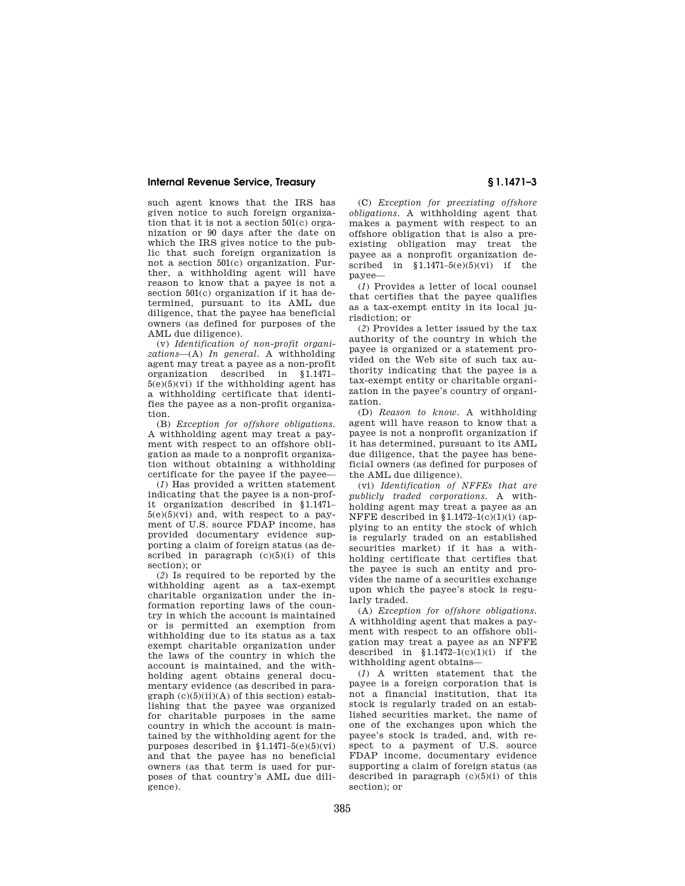such agent knows that the IRS has given notice to such foreign organization that it is not a section 501(c) organization or 90 days after the date on which the IRS gives notice to the public that such foreign organization is not a section 501(c) organization. Further, a withholding agent will have reason to know that a payee is not a section 501(c) organization if it has determined, pursuant to its AML due diligence, that the payee has beneficial owners (as defined for purposes of the AML due diligence).

(v) *Identification of non-profit organizations*—(A) *In general.* A withholding agent may treat a payee as a non-profit organization described in §1.1471–  $5(e)(5)(vi)$  if the withholding agent has a withholding certificate that identifies the payee as a non-profit organization.

(B) *Exception for offshore obligations.*  A withholding agent may treat a payment with respect to an offshore obligation as made to a nonprofit organization without obtaining a withholding certificate for the payee if the payee—

(*1*) Has provided a written statement indicating that the payee is a non-profit organization described in §1.1471–  $5(e)(5)(vi)$  and, with respect to a payment of U.S. source FDAP income, has provided documentary evidence supporting a claim of foreign status (as described in paragraph  $(c)(5)(i)$  of this section); or

(*2*) Is required to be reported by the withholding agent as a tax-exempt charitable organization under the information reporting laws of the country in which the account is maintained or is permitted an exemption from withholding due to its status as a tax exempt charitable organization under the laws of the country in which the account is maintained, and the withholding agent obtains general documentary evidence (as described in para $graph (c)(5)(ii)(A)$  of this section) establishing that the payee was organized for charitable purposes in the same country in which the account is maintained by the withholding agent for the purposes described in  $$1.1471-5(e)(5)(vi)$ and that the payee has no beneficial owners (as that term is used for purposes of that country's AML due diligence).

(C) *Exception for preexisting offshore obligations.* A withholding agent that makes a payment with respect to an offshore obligation that is also a preexisting obligation may treat the payee as a nonprofit organization described in  $$1.1471-5(e)(5)(vi)$  if the payee—

(*1*) Provides a letter of local counsel that certifies that the payee qualifies as a tax-exempt entity in its local jurisdiction; or

(*2*) Provides a letter issued by the tax authority of the country in which the payee is organized or a statement provided on the Web site of such tax authority indicating that the payee is a tax-exempt entity or charitable organization in the payee's country of organization.

(D) *Reason to know.* A withholding agent will have reason to know that a payee is not a nonprofit organization if it has determined, pursuant to its AML due diligence, that the payee has beneficial owners (as defined for purposes of the AML due diligence).

(vi) *Identification of NFFEs that are publicly traded corporations.* A withholding agent may treat a payee as an NFFE described in  $$1.1472-1(c)(1)(i)$  (applying to an entity the stock of which is regularly traded on an established securities market) if it has a withholding certificate that certifies that the payee is such an entity and provides the name of a securities exchange upon which the payee's stock is regularly traded.

(A) *Exception for offshore obligations.*  A withholding agent that makes a payment with respect to an offshore obligation may treat a payee as an NFFE described in  $$1.1472-1(c)(1)(i)$  if the withholding agent obtains—

(*1*) A written statement that the payee is a foreign corporation that is not a financial institution, that its stock is regularly traded on an established securities market, the name of one of the exchanges upon which the payee's stock is traded, and, with respect to a payment of U.S. source FDAP income, documentary evidence supporting a claim of foreign status (as described in paragraph  $(c)(5)(i)$  of this section); or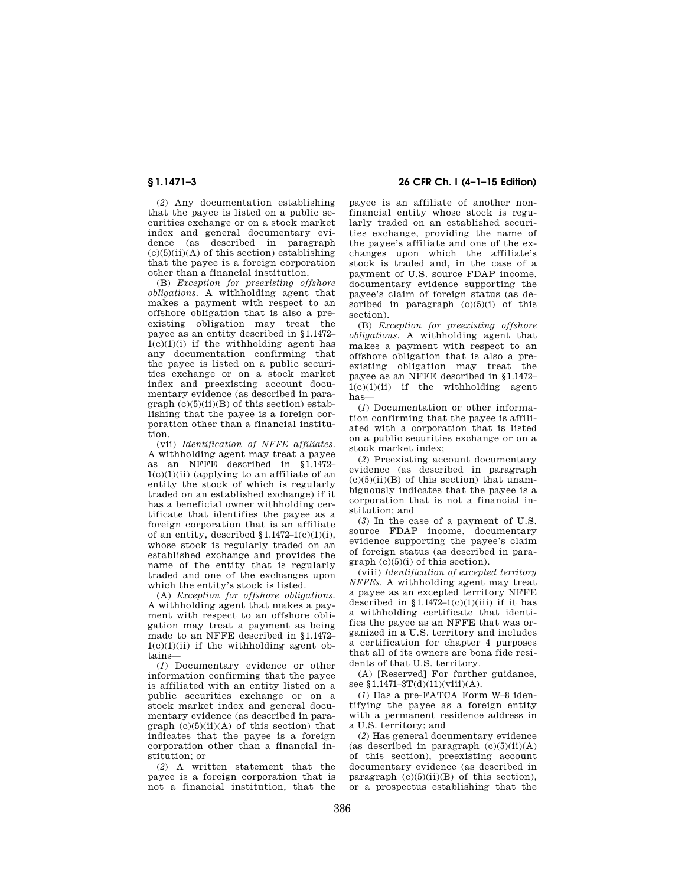(*2*) Any documentation establishing that the payee is listed on a public securities exchange or on a stock market index and general documentary evidence (as described in paragraph  $(c)(5)(ii)(A)$  of this section) establishing that the payee is a foreign corporation other than a financial institution.

(B) *Exception for preexisting offshore obligations.* A withholding agent that makes a payment with respect to an offshore obligation that is also a preexisting obligation may treat the payee as an entity described in §1.1472–  $1(c)(1)(i)$  if the withholding agent has any documentation confirming that the payee is listed on a public securities exchange or on a stock market index and preexisting account documentary evidence (as described in para $graph (c)(5)(ii)(B)$  of this section) establishing that the payee is a foreign corporation other than a financial institution.

(vii) *Identification of NFFE affiliates.*  A withholding agent may treat a payee as an NFFE described in §1.1472– 1(c)(1)(ii) (applying to an affiliate of an entity the stock of which is regularly traded on an established exchange) if it has a beneficial owner withholding certificate that identifies the payee as a foreign corporation that is an affiliate of an entity, described  $$1.1472-1(c)(1)(i),$ whose stock is regularly traded on an established exchange and provides the name of the entity that is regularly traded and one of the exchanges upon which the entity's stock is listed.

(A) *Exception for offshore obligations.*  A withholding agent that makes a payment with respect to an offshore obligation may treat a payment as being made to an NFFE described in §1.1472–  $1(c)(1)(ii)$  if the withholding agent obtains—

(*1*) Documentary evidence or other information confirming that the payee is affiliated with an entity listed on a public securities exchange or on a stock market index and general documentary evidence (as described in paragraph  $(c)(5)(ii)(A)$  of this section) that indicates that the payee is a foreign corporation other than a financial institution; or

(*2*) A written statement that the payee is a foreign corporation that is not a financial institution, that the

# **§ 1.1471–3 26 CFR Ch. I (4–1–15 Edition)**

payee is an affiliate of another nonfinancial entity whose stock is regularly traded on an established securities exchange, providing the name of the payee's affiliate and one of the exchanges upon which the affiliate's stock is traded and, in the case of a payment of U.S. source FDAP income, documentary evidence supporting the payee's claim of foreign status (as described in paragraph  $(c)(5)(i)$  of this section).

(B) *Exception for preexisting offshore obligations.* A withholding agent that makes a payment with respect to an offshore obligation that is also a preexisting obligation may treat the payee as an NFFE described in §1.1472–  $1(c)(1)(ii)$  if the withholding agent has—

(*1*) Documentation or other information confirming that the payee is affiliated with a corporation that is listed on a public securities exchange or on a stock market index;

(*2*) Preexisting account documentary evidence (as described in paragraph  $(c)(5)(ii)(B)$  of this section) that unambiguously indicates that the payee is a corporation that is not a financial institution; and

(*3*) In the case of a payment of U.S. source FDAP income, documentary evidence supporting the payee's claim of foreign status (as described in para $graph (c)(5)(i)$  of this section).

(viii) *Identification of excepted territory NFFEs.* A withholding agent may treat a payee as an excepted territory NFFE described in  $$1.1472-1(c)(1)(iii)$  if it has a withholding certificate that identifies the payee as an NFFE that was organized in a U.S. territory and includes a certification for chapter 4 purposes that all of its owners are bona fide residents of that U.S. territory.

(A) [Reserved] For further guidance, see §1.1471-3T(d)(11)(viii)(A).

(*1*) Has a pre-FATCA Form W–8 identifying the payee as a foreign entity with a permanent residence address in a U.S. territory; and

(*2*) Has general documentary evidence (as described in paragraph  $(c)(5)(ii)(A)$ of this section), preexisting account documentary evidence (as described in paragraph  $(c)(5)(ii)(B)$  of this section), or a prospectus establishing that the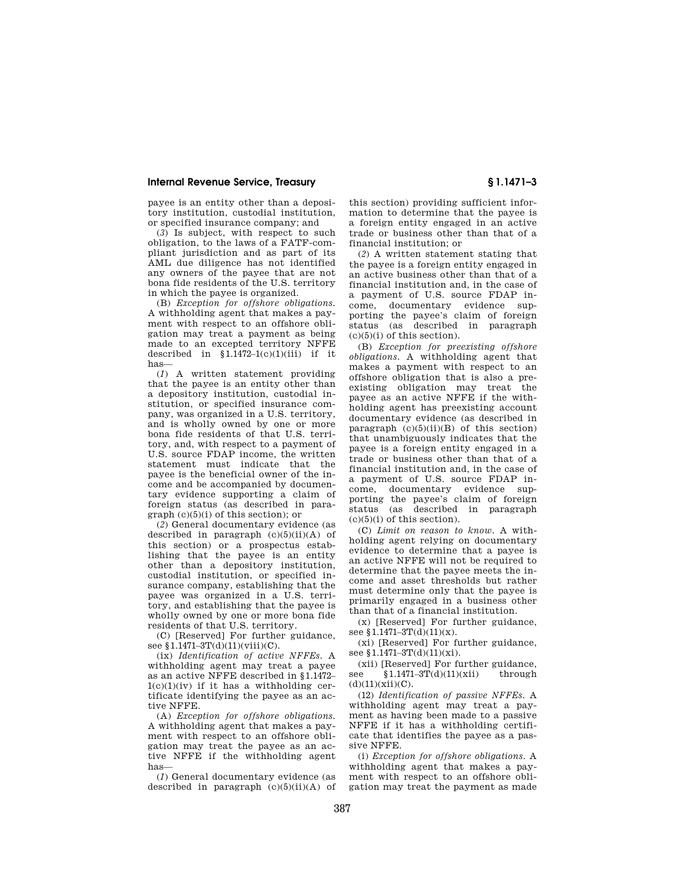payee is an entity other than a depository institution, custodial institution, or specified insurance company; and

(*3*) Is subject, with respect to such obligation, to the laws of a FATF-compliant jurisdiction and as part of its AML due diligence has not identified any owners of the payee that are not bona fide residents of the U.S. territory in which the payee is organized.

(B) *Exception for offshore obligations.*  A withholding agent that makes a payment with respect to an offshore obligation may treat a payment as being made to an excepted territory NFFE described in  $$1.1472-1(c)(1)(iii)$  if it has—

(*1*) A written statement providing that the payee is an entity other than a depository institution, custodial institution, or specified insurance company, was organized in a U.S. territory, and is wholly owned by one or more bona fide residents of that U.S. territory, and, with respect to a payment of U.S. source FDAP income, the written statement must indicate that the payee is the beneficial owner of the income and be accompanied by documentary evidence supporting a claim of foreign status (as described in paragraph (c)(5)(i) of this section); or

(*2*) General documentary evidence (as described in paragraph  $(c)(5)(ii)(A)$  of this section) or a prospectus establishing that the payee is an entity other than a depository institution, custodial institution, or specified insurance company, establishing that the payee was organized in a U.S. territory, and establishing that the payee is wholly owned by one or more bona fide residents of that U.S. territory.

(C) [Reserved] For further guidance, see §1.1471-3T(d)(11)(viii)(C).

(ix) *Identification of active NFFEs.* A withholding agent may treat a payee as an active NFFE described in §1.1472–  $1(c)(1)(iv)$  if it has a withholding certificate identifying the payee as an active NFFE.

(A) *Exception for offshore obligations.*  A withholding agent that makes a payment with respect to an offshore obligation may treat the payee as an active NFFE if the withholding agent has—

(*1*) General documentary evidence (as described in paragraph  $(c)(5)(ii)(A)$  of

this section) providing sufficient information to determine that the payee is a foreign entity engaged in an active trade or business other than that of a financial institution; or

(*2*) A written statement stating that the payee is a foreign entity engaged in an active business other than that of a financial institution and, in the case of a payment of U.S. source FDAP income, documentary evidence supporting the payee's claim of foreign status (as described in paragraph  $(c)(5)(i)$  of this section).

(B) *Exception for preexisting offshore obligations.* A withholding agent that makes a payment with respect to an offshore obligation that is also a preexisting obligation may treat the payee as an active NFFE if the withholding agent has preexisting account documentary evidence (as described in paragraph  $(c)(5)(ii)(B)$  of this section) that unambiguously indicates that the payee is a foreign entity engaged in a trade or business other than that of a financial institution and, in the case of a payment of U.S. source FDAP income, documentary evidence supporting the payee's claim of foreign status (as described in paragraph  $(c)(5)(i)$  of this section).

(C) *Limit on reason to know.* A withholding agent relying on documentary evidence to determine that a payee is an active NFFE will not be required to determine that the payee meets the income and asset thresholds but rather must determine only that the payee is primarily engaged in a business other than that of a financial institution.

(x) [Reserved] For further guidance, see §1.1471-3T(d)(11)(x).

(xi) [Reserved] For further guidance, see §1.1471-3T(d)(11)(xi).

(xii) [Reserved] For further guidance,<br>e  $$1.1471-3T(d)(11)(xii)$  through see  $$1.1471 - 3T(d)(11)(xii)$  $(d)(11)(xii)(C)$ .

(12) *Identification of passive NFFEs.* A withholding agent may treat a payment as having been made to a passive NFFE if it has a withholding certificate that identifies the payee as a passive NFFE.

(i) *Exception for offshore obligations.* A withholding agent that makes a payment with respect to an offshore obligation may treat the payment as made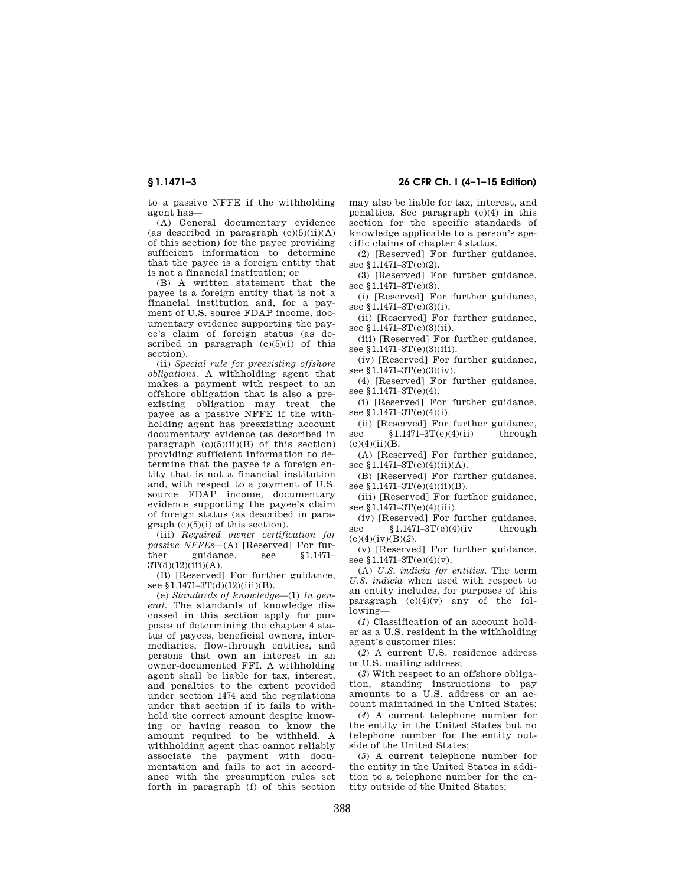**§ 1.1471–3 26 CFR Ch. I (4–1–15 Edition)** 

to a passive NFFE if the withholding agent has—

(A) General documentary evidence (as described in paragraph  $(c)(5)(ii)(A)$ of this section) for the payee providing sufficient information to determine that the payee is a foreign entity that is not a financial institution; or

(B) A written statement that the payee is a foreign entity that is not a financial institution and, for a payment of U.S. source FDAP income, documentary evidence supporting the payee's claim of foreign status (as described in paragraph  $(c)(5)(i)$  of this section).

(ii) *Special rule for preexisting offshore obligations.* A withholding agent that makes a payment with respect to an offshore obligation that is also a preexisting obligation may treat the payee as a passive NFFE if the withholding agent has preexisting account documentary evidence (as described in paragraph  $(c)(5)(ii)(B)$  of this section) providing sufficient information to determine that the payee is a foreign entity that is not a financial institution and, with respect to a payment of U.S. source FDAP income, documentary evidence supporting the payee's claim of foreign status (as described in para $graph (c)(5)(i)$  of this section).

(iii) *Required owner certification for passive NFFEs*—(A) [Reserved] For further guidance, see §1.1471–  $3T(d)(12)(iii)(A)$ .

(B) [Reserved] For further guidance, see §1.1471-3T(d)(12)(iii)(B).

(e) *Standards of knowledge*—(1) *In general.* The standards of knowledge discussed in this section apply for purposes of determining the chapter 4 status of payees, beneficial owners, intermediaries, flow-through entities, and persons that own an interest in an owner-documented FFI. A withholding agent shall be liable for tax, interest, and penalties to the extent provided under section 1474 and the regulations under that section if it fails to withhold the correct amount despite knowing or having reason to know the amount required to be withheld. A withholding agent that cannot reliably associate the payment with documentation and fails to act in accordance with the presumption rules set forth in paragraph (f) of this section

may also be liable for tax, interest, and penalties. See paragraph (e)(4) in this section for the specific standards of knowledge applicable to a person's specific claims of chapter 4 status.

(2) [Reserved] For further guidance, see §1.1471-3T(e)(2).

(3) [Reserved] For further guidance, see §1.1471-3T(e)(3).

(i) [Reserved] For further guidance, see §1.1471-3T(e)(3)(i).

(ii) [Reserved] For further guidance, see §1.1471-3T(e)(3)(ii).

(iii) [Reserved] For further guidance, see §1.1471-3T(e)(3)(iii).

(iv) [Reserved] For further guidance, see §1.1471-3T(e)(3)(iv).

(4) [Reserved] For further guidance, see  $$1.1471-3T(e)(4)$ .

(i) [Reserved] For further guidance, see §1.1471-3T(e)(4)(i).

(ii) [Reserved] For further guidance, see  $$1.1471-3T(e)(4)(ii)$  through  $(e)(4)(ii)(B.$ 

(A) [Reserved] For further guidance, see  $$1.1471-3T(e)(4)(ii)(A)$ .

(B) [Reserved] For further guidance, see §1.1471-3T(e)(4)(ii)(B).

(iii) [Reserved] For further guidance, see §1.1471-3T(e)(4)(iii).

(iv) [Reserved] For further guidance, see  $$1.1471-3T(e)(4)(iv$  through  $(e)(4)(iv)(B)(2)$ .

(v) [Reserved] For further guidance, see §1.1471-3T(e)(4)(v).

(A) *U.S. indicia for entities.* The term *U.S. indicia* when used with respect to an entity includes, for purposes of this paragraph (e)(4)(v) any of the following—

(*1*) Classification of an account holder as a U.S. resident in the withholding agent's customer files;

(*2*) A current U.S. residence address or U.S. mailing address;

(*3*) With respect to an offshore obligation, standing instructions to pay amounts to a U.S. address or an account maintained in the United States;

(*4*) A current telephone number for the entity in the United States but no telephone number for the entity outside of the United States;

(*5*) A current telephone number for the entity in the United States in addition to a telephone number for the entity outside of the United States;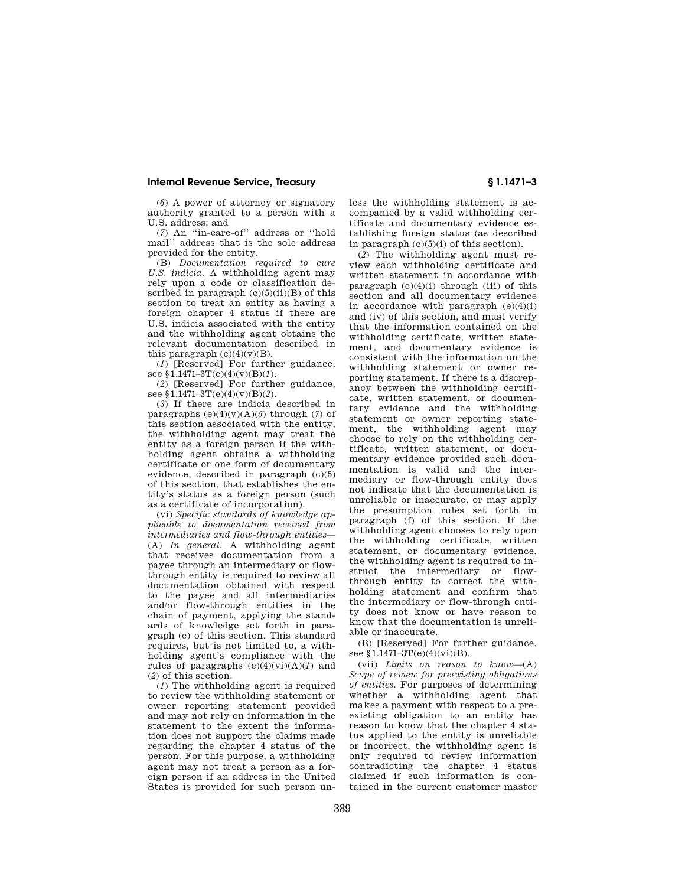(*6*) A power of attorney or signatory authority granted to a person with a U.S. address; and

(*7*) An ''in-care-of'' address or ''hold mail'' address that is the sole address provided for the entity.

(B) *Documentation required to cure U.S. indicia.* A withholding agent may rely upon a code or classification described in paragraph  $(c)(5)(ii)(B)$  of this section to treat an entity as having a foreign chapter 4 status if there are U.S. indicia associated with the entity and the withholding agent obtains the relevant documentation described in this paragraph  $(e)(4)(v)(B)$ .

(*1*) [Reserved] For further guidance, see §1.1471–3T(e)(4)(v)(B)(*1*).

(*2*) [Reserved] For further guidance, see §1.1471–3T(e)(4)(v)(B)(*2*).

(*3*) If there are indicia described in paragraphs  $(e)(4)(v)(A)(5)$  through (7) of this section associated with the entity, the withholding agent may treat the entity as a foreign person if the withholding agent obtains a withholding certificate or one form of documentary evidence, described in paragraph (c)(5) of this section, that establishes the entity's status as a foreign person (such as a certificate of incorporation).

(vi) *Specific standards of knowledge applicable to documentation received from intermediaries and flow-through entities*— (A) *In general.* A withholding agent that receives documentation from a payee through an intermediary or flowthrough entity is required to review all documentation obtained with respect to the payee and all intermediaries and/or flow-through entities in the chain of payment, applying the standards of knowledge set forth in paragraph (e) of this section. This standard requires, but is not limited to, a withholding agent's compliance with the rules of paragraphs (e)(4)(vi)(A)(*1*) and (*2*) of this section.

(*1*) The withholding agent is required to review the withholding statement or owner reporting statement provided and may not rely on information in the statement to the extent the information does not support the claims made regarding the chapter 4 status of the person. For this purpose, a withholding agent may not treat a person as a foreign person if an address in the United States is provided for such person unless the withholding statement is accompanied by a valid withholding certificate and documentary evidence establishing foreign status (as described in paragraph  $(c)(5)(i)$  of this section).

(*2*) The withholding agent must review each withholding certificate and written statement in accordance with paragraph  $(e)(4)(i)$  through (iii) of this section and all documentary evidence in accordance with paragraph  $(e)(4)(i)$ and (iv) of this section, and must verify that the information contained on the withholding certificate, written statement, and documentary evidence is consistent with the information on the withholding statement or owner reporting statement. If there is a discrepancy between the withholding certificate, written statement, or documentary evidence and the withholding statement or owner reporting statement, the withholding agent may choose to rely on the withholding certificate, written statement, or documentary evidence provided such documentation is valid and the intermediary or flow-through entity does not indicate that the documentation is unreliable or inaccurate, or may apply the presumption rules set forth in paragraph (f) of this section. If the withholding agent chooses to rely upon the withholding certificate, written statement, or documentary evidence, the withholding agent is required to instruct the intermediary or flowthrough entity to correct the withholding statement and confirm that the intermediary or flow-through entity does not know or have reason to know that the documentation is unreliable or inaccurate.

(B) [Reserved] For further guidance, see  $$1.1471-3T(e)(4)(vi)(B)$ .

(vii) *Limits on reason to know*—(A) *Scope of review for preexisting obligations of entities.* For purposes of determining whether a withholding agent that makes a payment with respect to a preexisting obligation to an entity has reason to know that the chapter 4 status applied to the entity is unreliable or incorrect, the withholding agent is only required to review information contradicting the chapter 4 status claimed if such information is contained in the current customer master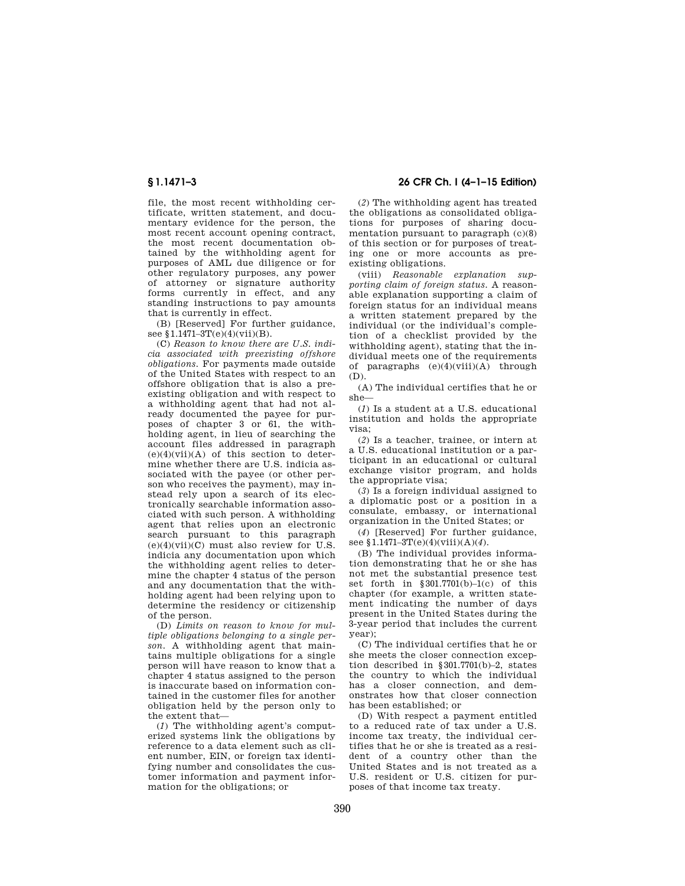file, the most recent withholding certificate, written statement, and documentary evidence for the person, the most recent account opening contract, the most recent documentation obtained by the withholding agent for purposes of AML due diligence or for other regulatory purposes, any power of attorney or signature authority forms currently in effect, and any standing instructions to pay amounts that is currently in effect.

(B) [Reserved] For further guidance, see §1.1471-3T(e)(4)(vii)(B).

(C) *Reason to know there are U.S. indicia associated with preexisting offshore obligations.* For payments made outside of the United States with respect to an offshore obligation that is also a preexisting obligation and with respect to a withholding agent that had not already documented the payee for purposes of chapter 3 or 61, the withholding agent, in lieu of searching the account files addressed in paragraph  $(e)(4)(\n$ i)(A) of this section to determine whether there are U.S. indicia associated with the payee (or other person who receives the payment), may instead rely upon a search of its electronically searchable information associated with such person. A withholding agent that relies upon an electronic search pursuant to this paragraph  $(e)(4)(\overline{\text{vii}})(C)$  must also review for U.S. indicia any documentation upon which the withholding agent relies to determine the chapter 4 status of the person and any documentation that the withholding agent had been relying upon to determine the residency or citizenship of the person.

(D) *Limits on reason to know for multiple obligations belonging to a single person.* A withholding agent that maintains multiple obligations for a single person will have reason to know that a chapter 4 status assigned to the person is inaccurate based on information contained in the customer files for another obligation held by the person only to the extent that—

(*1*) The withholding agent's computerized systems link the obligations by reference to a data element such as client number, EIN, or foreign tax identifying number and consolidates the customer information and payment information for the obligations; or

**§ 1.1471–3 26 CFR Ch. I (4–1–15 Edition)** 

(*2*) The withholding agent has treated the obligations as consolidated obligations for purposes of sharing documentation pursuant to paragraph (c)(8) of this section or for purposes of treating one or more accounts as preexisting obligations.

(viii) *Reasonable explanation supporting claim of foreign status.* A reasonable explanation supporting a claim of foreign status for an individual means a written statement prepared by the individual (or the individual's completion of a checklist provided by the withholding agent), stating that the individual meets one of the requirements of paragraphs  $(e)(4)(viii)(A)$  through (D).

(A) The individual certifies that he or she—

(*1*) Is a student at a U.S. educational institution and holds the appropriate visa;

(*2*) Is a teacher, trainee, or intern at a U.S. educational institution or a participant in an educational or cultural exchange visitor program, and holds the appropriate visa;

(*3*) Is a foreign individual assigned to a diplomatic post or a position in a consulate, embassy, or international organization in the United States; or

(*4*) [Reserved] For further guidance, see §1.1471–3T(e)(4)(viii)(A)(*4*).

(B) The individual provides information demonstrating that he or she has not met the substantial presence test set forth in  $§ 301.7701(b)-1(c)$  of this chapter (for example, a written statement indicating the number of days present in the United States during the 3-year period that includes the current year);

(C) The individual certifies that he or she meets the closer connection exception described in §301.7701(b)–2, states the country to which the individual has a closer connection, and demonstrates how that closer connection has been established; or

(D) With respect a payment entitled to a reduced rate of tax under a U.S. income tax treaty, the individual certifies that he or she is treated as a resident of a country other than the United States and is not treated as a U.S. resident or U.S. citizen for purposes of that income tax treaty.